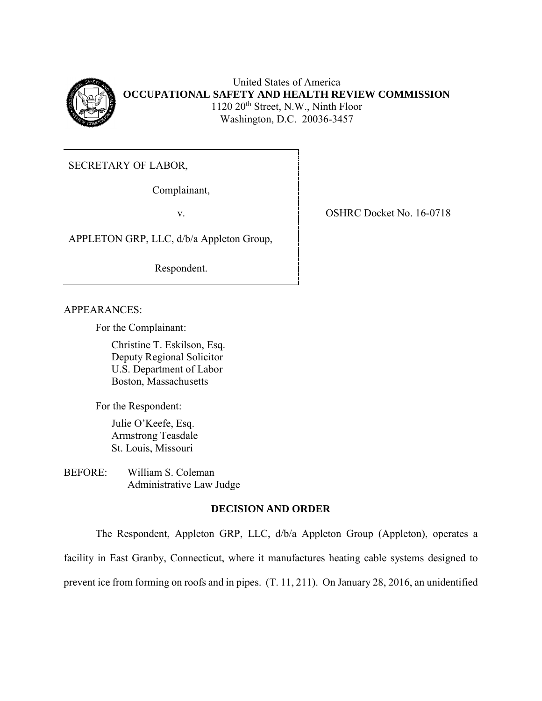

United States of America **OCCUPATIONAL SAFETY AND HEALTH REVIEW COMMISSION**  1120 20<sup>th</sup> Street, N.W., Ninth Floor Washington, D.C. 20036-3457

SECRETARY OF LABOR,

Complainant,

APPLETON GRP, LLC, d/b/a Appleton Group,

Respondent.

APPEARANCES:

For the Complainant:

Christine T. Eskilson, Esq. Deputy Regional Solicitor U.S. Department of Labor Boston, Massachusetts

For the Respondent:

Julie O'Keefe, Esq. Armstrong Teasdale St. Louis, Missouri

BEFORE: William S. Coleman Administrative Law Judge

## **DECISION AND ORDER**

 facility in East Granby, Connecticut, where it manufactures heating cable systems designed to prevent ice from forming on roofs and in pipes. (T. 11, 211). On January 28, 2016, an unidentifiedThe Respondent, Appleton GRP, LLC, d/b/a Appleton Group (Appleton), operates a

v. SHRC Docket No. 16-0718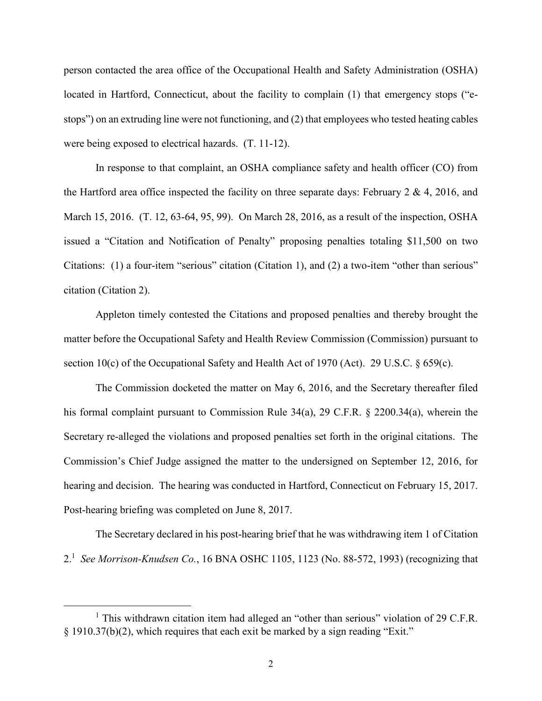person contacted the area office of the Occupational Health and Safety Administration (OSHA) located in Hartford, Connecticut, about the facility to complain (1) that emergency stops ("e- were being exposed to electrical hazards. (T. 11-12). stops") on an extruding line were not functioning, and (2) that employees who tested heating cables

 In response to that complaint, an OSHA compliance safety and health officer (CO) from the Hartford area office inspected the facility on three separate days: February 2 & 4, 2016, and March 15, 2016. (T. 12, 63-64, 95, 99). On March 28, 2016, as a result of the inspection, OSHA Citations: (1) a four-item "serious" citation (Citation 1), and (2) a two-item "other than serious" issued a "Citation and Notification of Penalty" proposing penalties totaling \$11,500 on two citation (Citation 2).

 matter before the Occupational Safety and Health Review Commission (Commission) pursuant to Appleton timely contested the Citations and proposed penalties and thereby brought the section 10(c) of the Occupational Safety and Health Act of 1970 (Act). 29 U.S.C. § 659(c).

 Commission's Chief Judge assigned the matter to the undersigned on September 12, 2016, for hearing and decision. The hearing was conducted in Hartford, Connecticut on February 15, 2017. The Commission docketed the matter on May 6, 2016, and the Secretary thereafter filed his formal complaint pursuant to Commission Rule 34(a), 29 C.F.R. § 2200.34(a), wherein the Secretary re-alleged the violations and proposed penalties set forth in the original citations. The Post-hearing briefing was completed on June 8, 2017.

 The Secretary declared in his post-hearing brief that he was withdrawing item 1 of Citation 2. <sup>1</sup> *See Morrison-Knudsen Co.*, 16 BNA OSHC 1105, 1123 (No. 88-572, 1993) (recognizing that

 $1$  This withdrawn citation item had alleged an "other than serious" violation of 29 C.F.R. § 1910.37(b)(2), which requires that each exit be marked by a sign reading "Exit."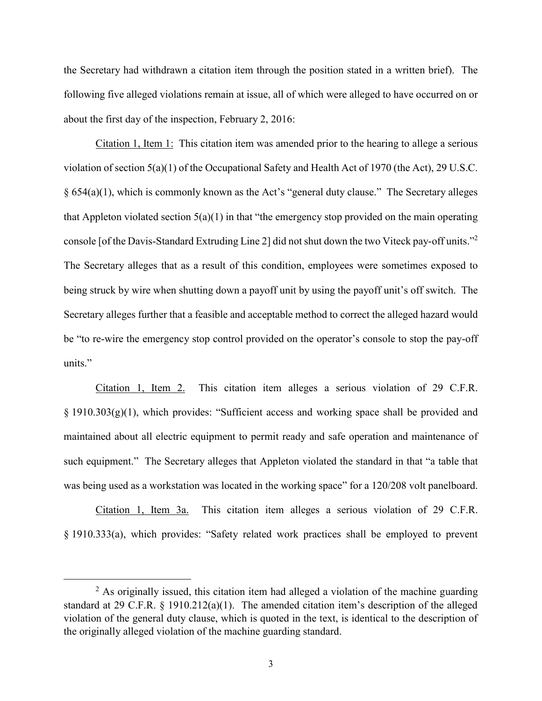following five alleged violations remain at issue, all of which were alleged to have occurred on or the Secretary had withdrawn a citation item through the position stated in a written brief). The about the first day of the inspection, February 2, 2016:

Citation 1, Item 1: This citation item was amended prior to the hearing to allege a serious console [of the Davis-Standard Extruding Line 2] did not shut down the two Viteck pay-off units."2 The Secretary alleges that as a result of this condition, employees were sometimes exposed to Secretary alleges further that a feasible and acceptable method to correct the alleged hazard would violation of section 5(a)(1) of the Occupational Safety and Health Act of 1970 (the Act), 29 U.S.C.  $§ 654(a)(1)$ , which is commonly known as the Act's "general duty clause." The Secretary alleges that Appleton violated section  $5(a)(1)$  in that "the emergency stop provided on the main operating being struck by wire when shutting down a payoff unit by using the payoff unit's off switch. The be "to re-wire the emergency stop control provided on the operator's console to stop the pay-off units."

 Citation 1, Item 2. This citation item alleges a serious violation of 29 C.F.R. § 1910.303(g)(1), which provides: "Sufficient access and working space shall be provided and maintained about all electric equipment to permit ready and safe operation and maintenance of such equipment." The Secretary alleges that Appleton violated the standard in that "a table that was being used as a workstation was located in the working space" for a 120/208 volt panelboard.

 § 1910.333(a), which provides: "Safety related work practices shall be employed to prevent Citation 1, Item 3a. This citation item alleges a serious violation of 29 C.F.R.

 standard at 29 C.F.R. § 1910.212(a)(1). The amended citation item's description of the alleged  $<sup>2</sup>$  As originally issued, this citation item had alleged a violation of the machine guarding</sup> violation of the general duty clause, which is quoted in the text, is identical to the description of the originally alleged violation of the machine guarding standard.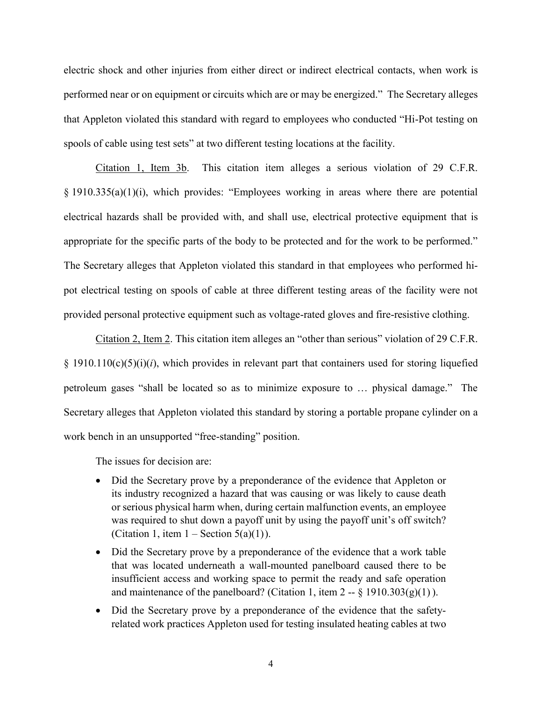performed near or on equipment or circuits which are or may be energized." The Secretary alleges that Appleton violated this standard with regard to employees who conducted "Hi-Pot testing on electric shock and other injuries from either direct or indirect electrical contacts, when work is spools of cable using test sets" at two different testing locations at the facility.

 Citation 1, Item 3b. This citation item alleges a serious violation of 29 C.F.R. § 1910.335(a)(1)(i), which provides: "Employees working in areas where there are potential electrical hazards shall be provided with, and shall use, electrical protective equipment that is appropriate for the specific parts of the body to be protected and for the work to be performed." The Secretary alleges that Appleton violated this standard in that employees who performed hi- pot electrical testing on spools of cable at three different testing areas of the facility were not provided personal protective equipment such as voltage-rated gloves and fire-resistive clothing.

 § 1910.110(c)(5)(i)(*i*), which provides in relevant part that containers used for storing liquefied petroleum gases "shall be located so as to minimize exposure to … physical damage." The Secretary alleges that Appleton violated this standard by storing a portable propane cylinder on a Citation 2, Item 2. This citation item alleges an "other than serious" violation of 29 C.F.R. work bench in an unsupported "free-standing" position.

The issues for decision are:

- • Did the Secretary prove by a preponderance of the evidence that Appleton or its industry recognized a hazard that was causing or was likely to cause death was required to shut down a payoff unit by using the payoff unit's off switch? or serious physical harm when, during certain malfunction events, an employee (Citation 1, item  $1 -$  Section  $5(a)(1)$ ).
- • Did the Secretary prove by a preponderance of the evidence that a work table that was located underneath a wall-mounted panelboard caused there to be insufficient access and working space to permit the ready and safe operation and maintenance of the panelboard? (Citation 1, item  $2 - \frac{1}{2}$  1910.303(g)(1)).
- • Did the Secretary prove by a preponderance of the evidence that the safety-related work practices Appleton used for testing insulated heating cables at two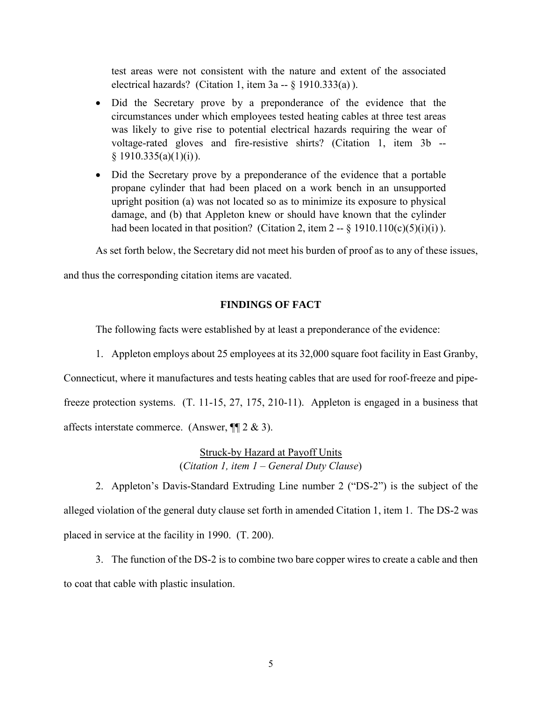test areas were not consistent with the nature and extent of the associated electrical hazards? (Citation 1, item 3a -- § 1910.333(a) ).

- • Did the Secretary prove by a preponderance of the evidence that the was likely to give rise to potential electrical hazards requiring the wear of circumstances under which employees tested heating cables at three test areas voltage-rated gloves and fire-resistive shirts? (Citation 1, item 3b --  $§ 1910.335(a)(1)(i)).$
- • Did the Secretary prove by a preponderance of the evidence that a portable had been located in that position? (Citation 2, item 2 --  $\S$  1910.110(c)(5)(i)(i)). propane cylinder that had been placed on a work bench in an unsupported upright position (a) was not located so as to minimize its exposure to physical damage, and (b) that Appleton knew or should have known that the cylinder

As set forth below, the Secretary did not meet his burden of proof as to any of these issues,

and thus the corresponding citation items are vacated.

#### **FINDINGS OF FACT**

The following facts were established by at least a preponderance of the evidence:

 1. Appleton employs about 25 employees at its 32,000 square foot facility in East Granby, freeze protection systems. (T. 11-15, 27, 175, 210-11). Appleton is engaged in a business that Connecticut, where it manufactures and tests heating cables that are used for roof-freeze and pipeaffects interstate commerce. (Answer, ¶¶ 2 & 3).

> Struck-by Hazard at Payoff Units (*Citation 1, item 1 – General Duty Clause*)

 2. Appleton's Davis-Standard Extruding Line number 2 ("DS-2") is the subject of the alleged violation of the general duty clause set forth in amended Citation 1, item 1. The DS-2 was placed in service at the facility in 1990. (T. 200).

 3. The function of the DS-2 is to combine two bare copper wires to create a cable and then to coat that cable with plastic insulation.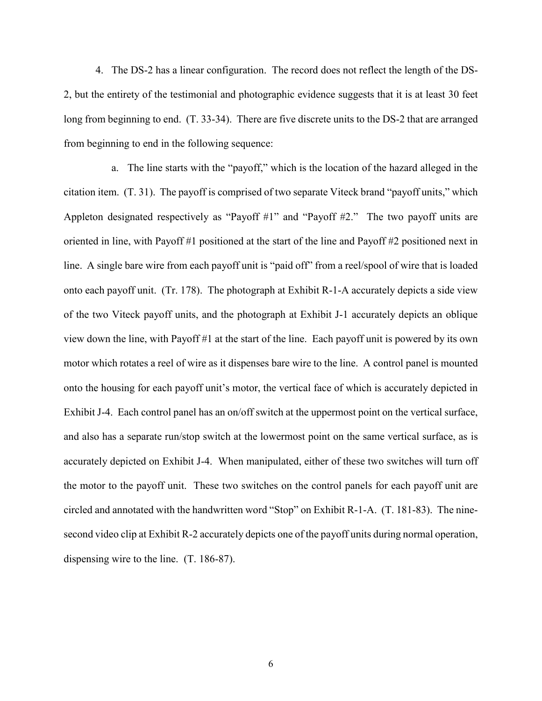2, but the entirety of the testimonial and photographic evidence suggests that it is at least 30 feet long from beginning to end. (T. 33-34). There are five discrete units to the DS-2 that are arranged 4. The DS-2 has a linear configuration. The record does not reflect the length of the DSfrom beginning to end in the following sequence:

 citation item. (T. 31). The payoff is comprised of two separate Viteck brand "payoff units," which Appleton designated respectively as "Payoff #1" and "Payoff #2." The two payoff units are oriented in line, with Payoff #1 positioned at the start of the line and Payoff #2 positioned next in line. A single bare wire from each payoff unit is "paid off" from a reel/spool of wire that is loaded onto each payoff unit. (Tr. 178). The photograph at Exhibit R-1-A accurately depicts a side view of the two Viteck payoff units, and the photograph at Exhibit J-1 accurately depicts an oblique view down the line, with Payoff #1 at the start of the line. Each payoff unit is powered by its own onto the housing for each payoff unit's motor, the vertical face of which is accurately depicted in and also has a separate run/stop switch at the lowermost point on the same vertical surface, as is the motor to the payoff unit. These two switches on the control panels for each payoff unit are circled and annotated with the handwritten word "Stop" on Exhibit R-1-A. (T. 181-83). The nine- second video clip at Exhibit R-2 accurately depicts one of the payoff units during normal operation, dispensing wire to the line. (T. 186-87). a. The line starts with the "payoff," which is the location of the hazard alleged in the motor which rotates a reel of wire as it dispenses bare wire to the line. A control panel is mounted Exhibit J-4. Each control panel has an on/off switch at the uppermost point on the vertical surface, accurately depicted on Exhibit J-4. When manipulated, either of these two switches will turn off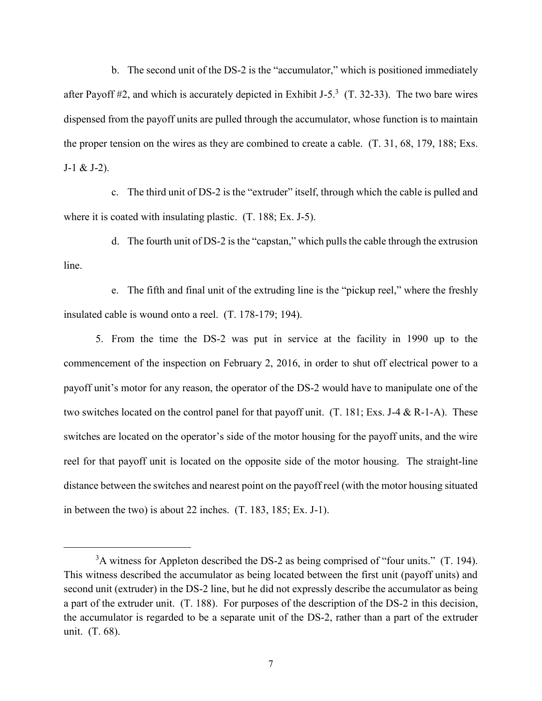after Payoff #2, and which is accurately depicted in Exhibit J-5.<sup>3</sup> (T. 32-33). The two bare wires the proper tension on the wires as they are combined to create a cable. (T. 31, 68, 179, 188; Exs. b. The second unit of the DS-2 is the "accumulator," which is positioned immediately dispensed from the payoff units are pulled through the accumulator, whose function is to maintain  $J-1 & 2J-2$ ).

 c. The third unit of DS-2 is the "extruder" itself, through which the cable is pulled and where it is coated with insulating plastic. (T. 188; Ex. J-5).

 line. d. The fourth unit of DS-2 is the "capstan," which pulls the cable through the extrusion

e. The fifth and final unit of the extruding line is the "pickup reel," where the freshly insulated cable is wound onto a reel. (T. 178-179; 194).

 5. From the time the DS-2 was put in service at the facility in 1990 up to the commencement of the inspection on February 2, 2016, in order to shut off electrical power to a payoff unit's motor for any reason, the operator of the DS-2 would have to manipulate one of the two switches located on the control panel for that payoff unit. (T. 181; Exs. J-4 & R-1-A). These reel for that payoff unit is located on the opposite side of the motor housing. The straight-line distance between the switches and nearest point on the payoff reel (with the motor housing situated switches are located on the operator's side of the motor housing for the payoff units, and the wire in between the two) is about 22 inches. (T. 183, 185; Ex. J-1).

 $3A$  witness for Appleton described the DS-2 as being comprised of "four units." (T. 194). second unit (extruder) in the DS-2 line, but he did not expressly describe the accumulator as being a part of the extruder unit. (T. 188). For purposes of the description of the DS-2 in this decision, the accumulator is regarded to be a separate unit of the DS-2, rather than a part of the extruder unit. (T. 68). This witness described the accumulator as being located between the first unit (payoff units) and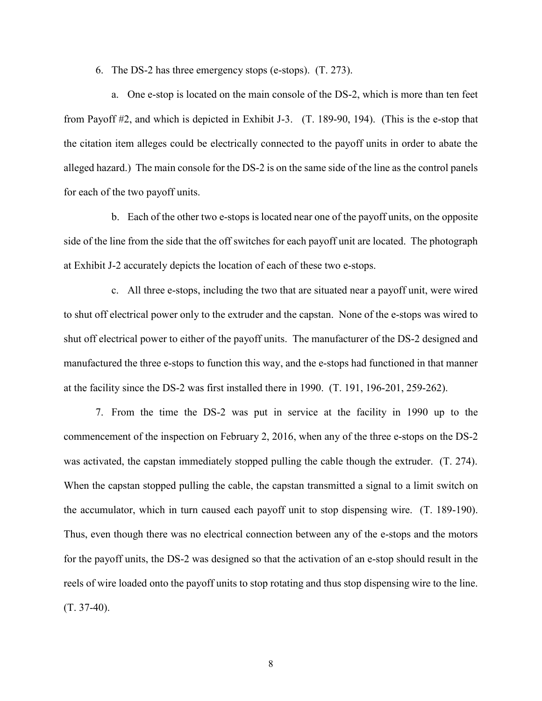6. The DS-2 has three emergency stops (e-stops). (T. 273).

 from Payoff #2, and which is depicted in Exhibit J-3. (T. 189-90, 194). (This is the e-stop that the citation item alleges could be electrically connected to the payoff units in order to abate the alleged hazard.) The main console for the DS-2 is on the same side of the line as the control panels a. One e-stop is located on the main console of the DS-2, which is more than ten feet for each of the two payoff units.

 b. Each of the other two e-stops is located near one of the payoff units, on the opposite side of the line from the side that the off switches for each payoff unit are located. The photograph at Exhibit J-2 accurately depicts the location of each of these two e-stops.

 to shut off electrical power only to the extruder and the capstan. None of the e-stops was wired to shut off electrical power to either of the payoff units. The manufacturer of the DS-2 designed and c. All three e-stops, including the two that are situated near a payoff unit, were wired manufactured the three e-stops to function this way, and the e-stops had functioned in that manner at the facility since the DS-2 was first installed there in 1990. (T. 191, 196-201, 259-262).

 7. From the time the DS-2 was put in service at the facility in 1990 up to the was activated, the capstan immediately stopped pulling the cable though the extruder. (T. 274). the accumulator, which in turn caused each payoff unit to stop dispensing wire. (T. 189-190). Thus, even though there was no electrical connection between any of the e-stops and the motors for the payoff units, the DS-2 was designed so that the activation of an e-stop should result in the reels of wire loaded onto the payoff units to stop rotating and thus stop dispensing wire to the line. commencement of the inspection on February 2, 2016, when any of the three e-stops on the DS-2 When the capstan stopped pulling the cable, the capstan transmitted a signal to a limit switch on (T. 37-40).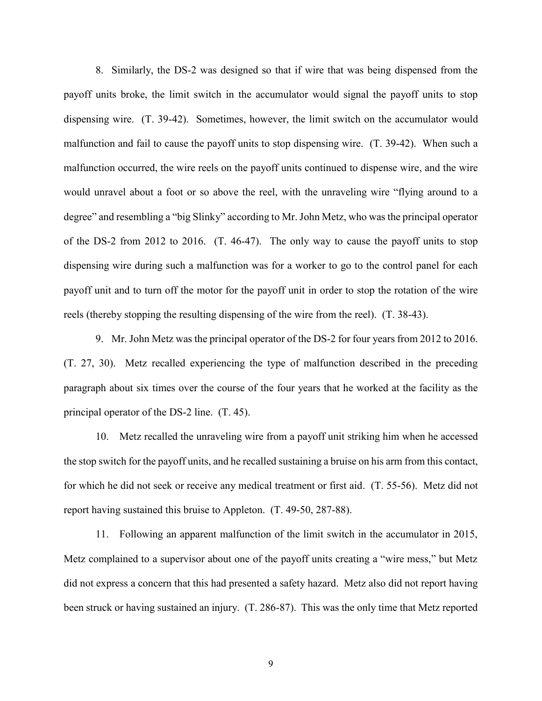payoff units broke, the limit switch in the accumulator would signal the payoff units to stop dispensing wire. (T. 39-42). Sometimes, however, the limit switch on the accumulator would malfunction and fail to cause the payoff units to stop dispensing wire. (T. 39-42). When such a malfunction occurred, the wire reels on the payoff units continued to dispense wire, and the wire would unravel about a foot or so above the reel, with the unraveling wire "flying around to a degree" and resembling a "big Slinky" according to Mr. John Metz, who was the principal operator of the DS-2 from 2012 to 2016. (T. 46-47). The only way to cause the payoff units to stop dispensing wire during such a malfunction was for a worker to go to the control panel for each payoff unit and to turn off the motor for the payoff unit in order to stop the rotation of the wire 8. Similarly, the DS-2 was designed so that if wire that was being dispensed from the reels (thereby stopping the resulting dispensing of the wire from the reel). (T. 38-43).

 9. Mr. John Metz was the principal operator of the DS-2 for four years from 2012 to 2016. (T. 27, 30). Metz recalled experiencing the type of malfunction described in the preceding paragraph about six times over the course of the four years that he worked at the facility as the principal operator of the DS-2 line. (T. 45).

 10. Metz recalled the unraveling wire from a payoff unit striking him when he accessed for which he did not seek or receive any medical treatment or first aid. (T. 55-56). Metz did not the stop switch for the payoff units, and he recalled sustaining a bruise on his arm from this contact, report having sustained this bruise to Appleton. (T. 49-50, 287-88).

 Metz complained to a supervisor about one of the payoff units creating a "wire mess," but Metz been struck or having sustained an injury. (T. 286-87). This was the only time that Metz reported 11. Following an apparent malfunction of the limit switch in the accumulator in 2015, did not express a concern that this had presented a safety hazard. Metz also did not report having

9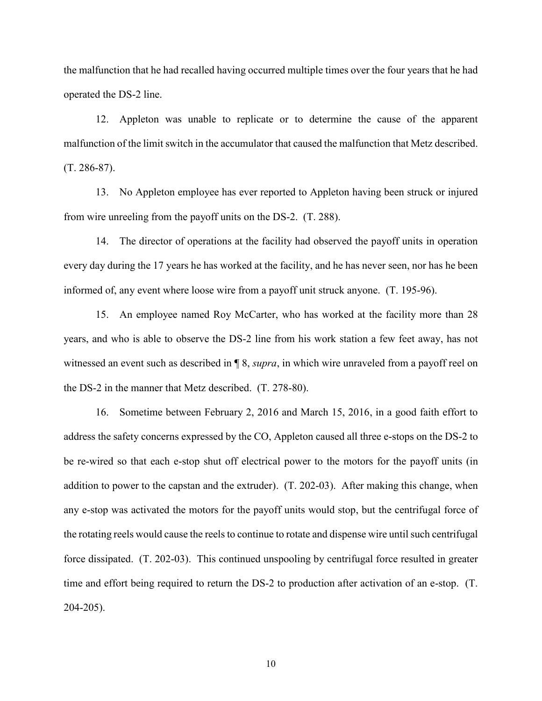the malfunction that he had recalled having occurred multiple times over the four years that he had operated the DS-2 line.

 12. Appleton was unable to replicate or to determine the cause of the apparent malfunction of the limit switch in the accumulator that caused the malfunction that Metz described. (T. 286-87).

13. No Appleton employee has ever reported to Appleton having been struck or injured from wire unreeling from the payoff units on the DS-2. (T. 288).

 every day during the 17 years he has worked at the facility, and he has never seen, nor has he been 14. The director of operations at the facility had observed the payoff units in operation informed of, any event where loose wire from a payoff unit struck anyone. (T. 195-96).

 15. An employee named Roy McCarter, who has worked at the facility more than 28 years, and who is able to observe the DS-2 line from his work station a few feet away, has not witnessed an event such as described in ¶ 8, *supra*, in which wire unraveled from a payoff reel on the DS-2 in the manner that Metz described. (T. 278-80).

 16. Sometime between February 2, 2016 and March 15, 2016, in a good faith effort to address the safety concerns expressed by the CO, Appleton caused all three e-stops on the DS-2 to any e-stop was activated the motors for the payoff units would stop, but the centrifugal force of the rotating reels would cause the reels to continue to rotate and dispense wire until such centrifugal force dissipated. (T. 202-03). This continued unspooling by centrifugal force resulted in greater time and effort being required to return the DS-2 to production after activation of an e-stop. (T. 204-205). be re-wired so that each e-stop shut off electrical power to the motors for the payoff units (in addition to power to the capstan and the extruder). (T. 202-03). After making this change, when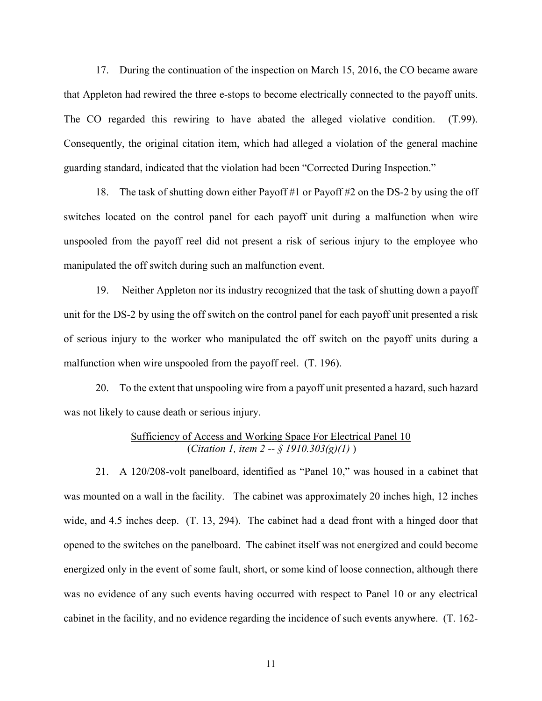The CO regarded this rewiring to have abated the alleged violative condition. (T.99). Consequently, the original citation item, which had alleged a violation of the general machine 17. During the continuation of the inspection on March 15, 2016, the CO became aware that Appleton had rewired the three e-stops to become electrically connected to the payoff units. guarding standard, indicated that the violation had been "Corrected During Inspection."

 18. The task of shutting down either Payoff #1 or Payoff #2 on the DS-2 by using the off switches located on the control panel for each payoff unit during a malfunction when wire unspooled from the payoff reel did not present a risk of serious injury to the employee who manipulated the off switch during such an malfunction event.

 19. Neither Appleton nor its industry recognized that the task of shutting down a payoff unit for the DS-2 by using the off switch on the control panel for each payoff unit presented a risk of serious injury to the worker who manipulated the off switch on the payoff units during a malfunction when wire unspooled from the payoff reel. (T. 196).

 20. To the extent that unspooling wire from a payoff unit presented a hazard, such hazard was not likely to cause death or serious injury.

# Sufficiency of Access and Working Space For Electrical Panel 10 (*Citation 1, item 2 -- § 1910.303(g)(1)* )

 was mounted on a wall in the facility. The cabinet was approximately 20 inches high, 12 inches wide, and 4.5 inches deep. (T. 13, 294). The cabinet had a dead front with a hinged door that cabinet in the facility, and no evidence regarding the incidence of such events anywhere. (T. 162- 21. A 120/208-volt panelboard, identified as "Panel 10," was housed in a cabinet that opened to the switches on the panelboard. The cabinet itself was not energized and could become energized only in the event of some fault, short, or some kind of loose connection, although there was no evidence of any such events having occurred with respect to Panel 10 or any electrical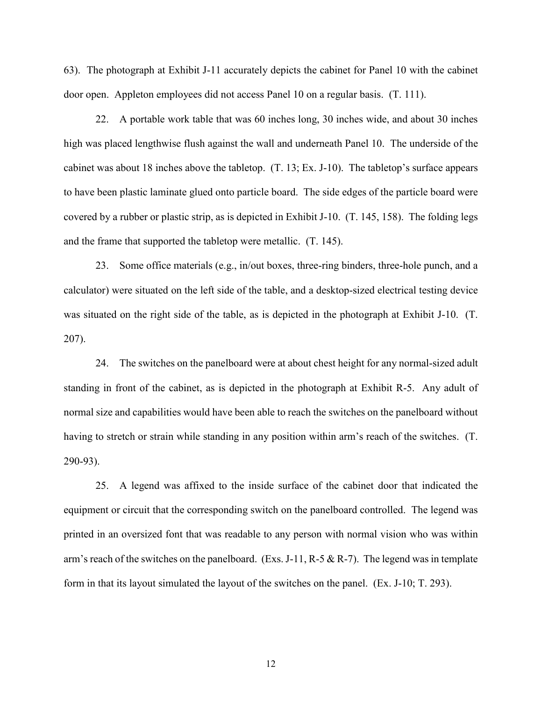63). The photograph at Exhibit J-11 accurately depicts the cabinet for Panel 10 with the cabinet door open. Appleton employees did not access Panel 10 on a regular basis. (T. 111).

 high was placed lengthwise flush against the wall and underneath Panel 10. The underside of the to have been plastic laminate glued onto particle board. The side edges of the particle board were covered by a rubber or plastic strip, as is depicted in Exhibit J-10. (T. 145, 158). The folding legs 22. A portable work table that was 60 inches long, 30 inches wide, and about 30 inches cabinet was about 18 inches above the tabletop. (T. 13; Ex. J-10). The tabletop's surface appears and the frame that supported the tabletop were metallic. (T. 145).

 was situated on the right side of the table, as is depicted in the photograph at Exhibit J-10. (T. 23. Some office materials (e.g., in/out boxes, three-ring binders, three-hole punch, and a calculator) were situated on the left side of the table, and a desktop-sized electrical testing device 207).

 standing in front of the cabinet, as is depicted in the photograph at Exhibit R-5. Any adult of normal size and capabilities would have been able to reach the switches on the panelboard without 24. The switches on the panelboard were at about chest height for any normal-sized adult having to stretch or strain while standing in any position within arm's reach of the switches. (T. 290-93).

 25. A legend was affixed to the inside surface of the cabinet door that indicated the equipment or circuit that the corresponding switch on the panelboard controlled. The legend was printed in an oversized font that was readable to any person with normal vision who was within arm's reach of the switches on the panelboard. (Exs. J-11, R-5 & R-7). The legend was in template form in that its layout simulated the layout of the switches on the panel. (Ex. J-10; T. 293).

12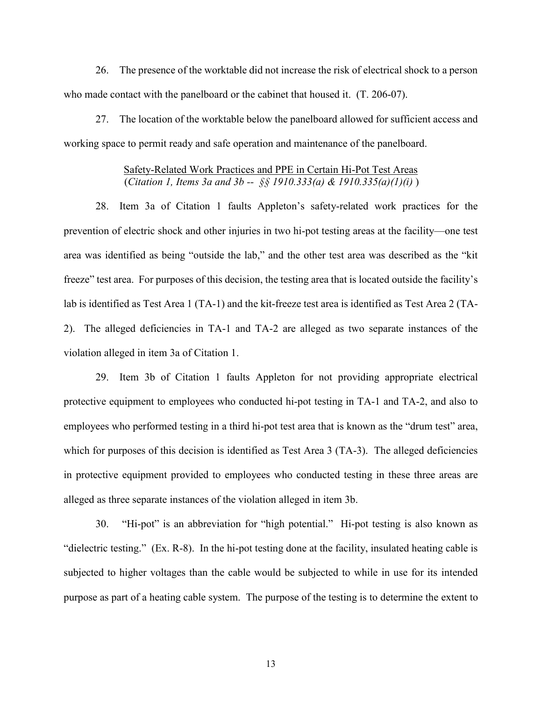26. The presence of the worktable did not increase the risk of electrical shock to a person who made contact with the panelboard or the cabinet that housed it. (T. 206-07).

27. The location of the worktable below the panelboard allowed for sufficient access and working space to permit ready and safe operation and maintenance of the panelboard.

# (*Citation 1, Items 3a and 3b -- §§ 1910.333(a) & 1910.335(a)(1)(i)* ) Safety-Related Work Practices and PPE in Certain Hi-Pot Test Areas

 28. Item 3a of Citation 1 faults Appleton's safety-related work practices for the prevention of electric shock and other injuries in two hi-pot testing areas at the facility—one test area was identified as being "outside the lab," and the other test area was described as the "kit freeze" test area. For purposes of this decision, the testing area that is located outside the facility's lab is identified as Test Area 1 (TA-1) and the kit-freeze test area is identified as Test Area 2 (TA- 2). The alleged deficiencies in TA-1 and TA-2 are alleged as two separate instances of the violation alleged in item 3a of Citation 1.

 which for purposes of this decision is identified as Test Area 3 (TA-3). The alleged deficiencies in protective equipment provided to employees who conducted testing in these three areas are 29. Item 3b of Citation 1 faults Appleton for not providing appropriate electrical protective equipment to employees who conducted hi-pot testing in TA-1 and TA-2, and also to employees who performed testing in a third hi-pot test area that is known as the "drum test" area, alleged as three separate instances of the violation alleged in item 3b.

 30. "Hi-pot" is an abbreviation for "high potential." Hi-pot testing is also known as subjected to higher voltages than the cable would be subjected to while in use for its intended "dielectric testing." (Ex. R-8). In the hi-pot testing done at the facility, insulated heating cable is purpose as part of a heating cable system. The purpose of the testing is to determine the extent to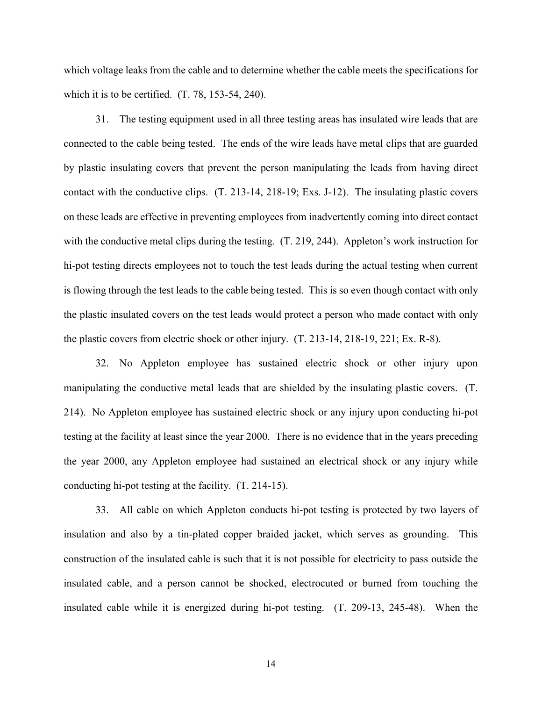which voltage leaks from the cable and to determine whether the cable meets the specifications for which it is to be certified. (T. 78, 153-54, 240).

 connected to the cable being tested. The ends of the wire leads have metal clips that are guarded on these leads are effective in preventing employees from inadvertently coming into direct contact with the conductive metal clips during the testing. (T. 219, 244). Appleton's work instruction for is flowing through the test leads to the cable being tested. This is so even though contact with only 31. The testing equipment used in all three testing areas has insulated wire leads that are by plastic insulating covers that prevent the person manipulating the leads from having direct contact with the conductive clips. (T. 213-14, 218-19; Exs. J-12). The insulating plastic covers hi-pot testing directs employees not to touch the test leads during the actual testing when current the plastic insulated covers on the test leads would protect a person who made contact with only the plastic covers from electric shock or other injury. (T. 213-14, 218-19, 221; Ex. R-8).

 manipulating the conductive metal leads that are shielded by the insulating plastic covers. (T. 214). No Appleton employee has sustained electric shock or any injury upon conducting hi-pot testing at the facility at least since the year 2000. There is no evidence that in the years preceding 32. No Appleton employee has sustained electric shock or other injury upon the year 2000, any Appleton employee had sustained an electrical shock or any injury while conducting hi-pot testing at the facility. (T. 214-15).

 33. All cable on which Appleton conducts hi-pot testing is protected by two layers of insulation and also by a tin-plated copper braided jacket, which serves as grounding. This construction of the insulated cable is such that it is not possible for electricity to pass outside the insulated cable, and a person cannot be shocked, electrocuted or burned from touching the insulated cable while it is energized during hi-pot testing. (T. 209-13, 245-48). When the

14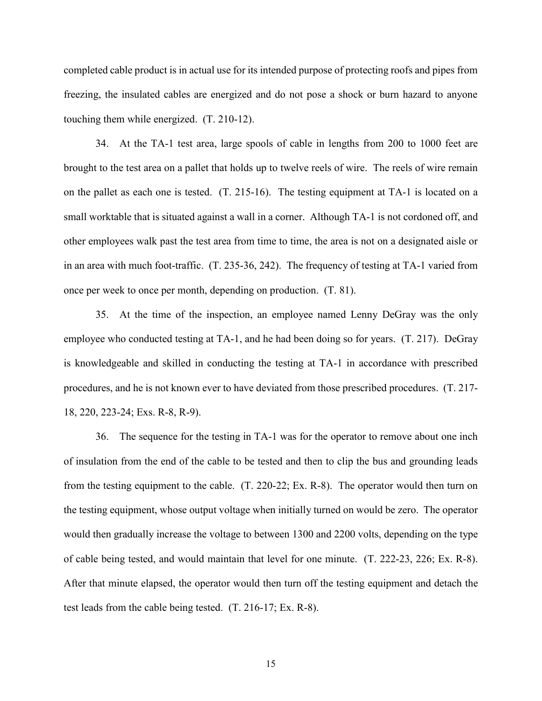completed cable product is in actual use for its intended purpose of protecting roofs and pipes from freezing, the insulated cables are energized and do not pose a shock or burn hazard to anyone touching them while energized. (T. 210-12).

 34. At the TA-1 test area, large spools of cable in lengths from 200 to 1000 feet are brought to the test area on a pallet that holds up to twelve reels of wire. The reels of wire remain small worktable that is situated against a wall in a corner. Although TA-1 is not cordoned off, and other employees walk past the test area from time to time, the area is not on a designated aisle or in an area with much foot-traffic. (T. 235-36, 242). The frequency of testing at TA-1 varied from on the pallet as each one is tested. (T. 215-16). The testing equipment at TA-1 is located on a once per week to once per month, depending on production. (T. 81).

 employee who conducted testing at TA-1, and he had been doing so for years. (T. 217). DeGray is knowledgeable and skilled in conducting the testing at TA-1 in accordance with prescribed 35. At the time of the inspection, an employee named Lenny DeGray was the only procedures, and he is not known ever to have deviated from those prescribed procedures. (T. 217- 18, 220, 223-24; Exs. R-8, R-9).

 36. The sequence for the testing in TA-1 was for the operator to remove about one inch from the testing equipment to the cable. (T. 220-22; Ex. R-8). The operator would then turn on the testing equipment, whose output voltage when initially turned on would be zero. The operator of cable being tested, and would maintain that level for one minute. (T. 222-23, 226; Ex. R-8). After that minute elapsed, the operator would then turn off the testing equipment and detach the test leads from the cable being tested. (T. 216-17; Ex. R-8). of insulation from the end of the cable to be tested and then to clip the bus and grounding leads would then gradually increase the voltage to between 1300 and 2200 volts, depending on the type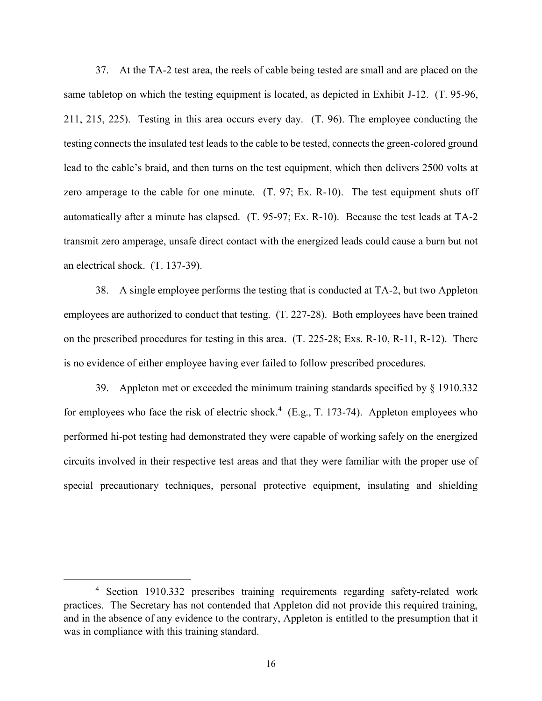37. At the TA-2 test area, the reels of cable being tested are small and are placed on the 211, 215, 225). Testing in this area occurs every day. (T. 96). The employee conducting the testing connects the insulated test leads to the cable to be tested, connects the green-colored ground zero amperage to the cable for one minute. (T. 97; Ex. R-10). The test equipment shuts off transmit zero amperage, unsafe direct contact with the energized leads could cause a burn but not same tabletop on which the testing equipment is located, as depicted in Exhibit J-12. (T. 95-96, lead to the cable's braid, and then turns on the test equipment, which then delivers 2500 volts at automatically after a minute has elapsed. (T. 95-97; Ex. R-10). Because the test leads at TA-2 an electrical shock. (T. 137-39).

 employees are authorized to conduct that testing. (T. 227-28). Both employees have been trained 38. A single employee performs the testing that is conducted at TA-2, but two Appleton on the prescribed procedures for testing in this area. (T. 225-28; Exs. R-10, R-11, R-12). There is no evidence of either employee having ever failed to follow prescribed procedures.

for employees who face the risk of electric shock.<sup>4</sup> (E.g., T. 173-74). Appleton employees who performed hi-pot testing had demonstrated they were capable of working safely on the energized circuits involved in their respective test areas and that they were familiar with the proper use of 39. Appleton met or exceeded the minimum training standards specified by § 1910.332 special precautionary techniques, personal protective equipment, insulating and shielding

 practices. The Secretary has not contended that Appleton did not provide this required training, and in the absence of any evidence to the contrary, Appleton is entitled to the presumption that it <sup>4</sup> Section 1910.332 prescribes training requirements regarding safety-related work was in compliance with this training standard.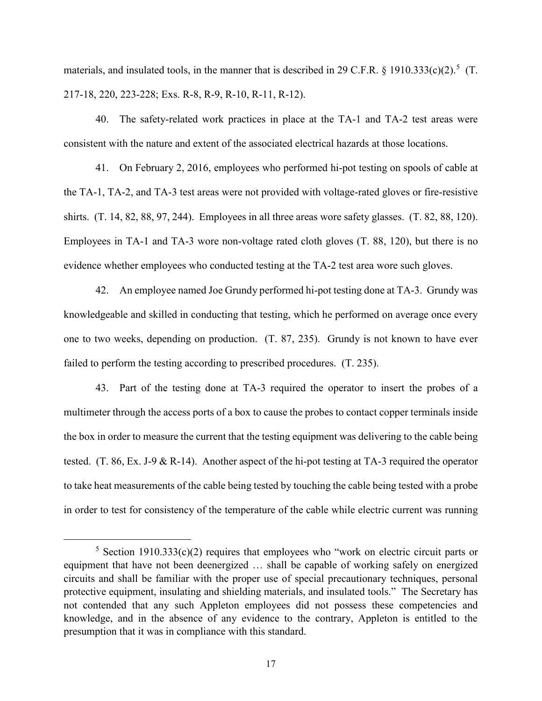materials, and insulated tools, in the manner that is described in 29 C.F.R. § 1910.333(c)(2).<sup>5</sup> (T. 217-18, 220, 223-228; Exs. R-8, R-9, R-10, R-11, R-12).

40. The safety-related work practices in place at the TA-1 and TA-2 test areas were consistent with the nature and extent of the associated electrical hazards at those locations.

 shirts. (T. 14, 82, 88, 97, 244). Employees in all three areas wore safety glasses. (T. 82, 88, 120). evidence whether employees who conducted testing at the TA-2 test area wore such gloves. 41. On February 2, 2016, employees who performed hi-pot testing on spools of cable at the TA-1, TA-2, and TA-3 test areas were not provided with voltage-rated gloves or fire-resistive Employees in TA-1 and TA-3 wore non-voltage rated cloth gloves (T. 88, 120), but there is no

 42. An employee named Joe Grundy performed hi-pot testing done at TA-3. Grundy was knowledgeable and skilled in conducting that testing, which he performed on average once every one to two weeks, depending on production. (T. 87, 235). Grundy is not known to have ever failed to perform the testing according to prescribed procedures. (T. 235).

 43. Part of the testing done at TA-3 required the operator to insert the probes of a multimeter through the access ports of a box to cause the probes to contact copper terminals inside to take heat measurements of the cable being tested by touching the cable being tested with a probe in order to test for consistency of the temperature of the cable while electric current was running the box in order to measure the current that the testing equipment was delivering to the cable being tested. (T. 86, Ex. J-9 & R-14). Another aspect of the hi-pot testing at TA-3 required the operator

<sup>&</sup>lt;sup>5</sup> Section 1910.333(c)(2) requires that employees who "work on electric circuit parts or equipment that have not been deenergized … shall be capable of working safely on energized circuits and shall be familiar with the proper use of special precautionary techniques, personal protective equipment, insulating and shielding materials, and insulated tools." The Secretary has knowledge, and in the absence of any evidence to the contrary, Appleton is entitled to the not contended that any such Appleton employees did not possess these competencies and presumption that it was in compliance with this standard.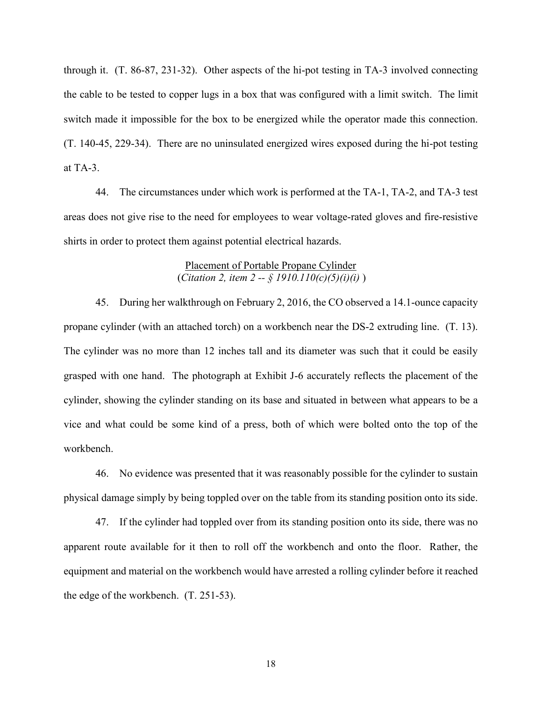through it. (T. 86-87, 231-32). Other aspects of the hi-pot testing in TA-3 involved connecting the cable to be tested to copper lugs in a box that was configured with a limit switch. The limit switch made it impossible for the box to be energized while the operator made this connection. (T. 140-45, 229-34). There are no uninsulated energized wires exposed during the hi-pot testing at TA-3.

 areas does not give rise to the need for employees to wear voltage-rated gloves and fire-resistive 44. The circumstances under which work is performed at the TA-1, TA-2, and TA-3 test shirts in order to protect them against potential electrical hazards.

## Placement of Portable Propane Cylinder (*Citation 2, item 2 -- § 1910.110(c)(5)(i)(i)* )

 The cylinder was no more than 12 inches tall and its diameter was such that it could be easily grasped with one hand. The photograph at Exhibit J-6 accurately reflects the placement of the cylinder, showing the cylinder standing on its base and situated in between what appears to be a vice and what could be some kind of a press, both of which were bolted onto the top of the 45. During her walkthrough on February 2, 2016, the CO observed a 14.1-ounce capacity propane cylinder (with an attached torch) on a workbench near the DS-2 extruding line. (T. 13). workbench.

 physical damage simply by being toppled over on the table from its standing position onto its side. 46. No evidence was presented that it was reasonably possible for the cylinder to sustain

 apparent route available for it then to roll off the workbench and onto the floor. Rather, the equipment and material on the workbench would have arrested a rolling cylinder before it reached 47. If the cylinder had toppled over from its standing position onto its side, there was no the edge of the workbench. (T. 251-53).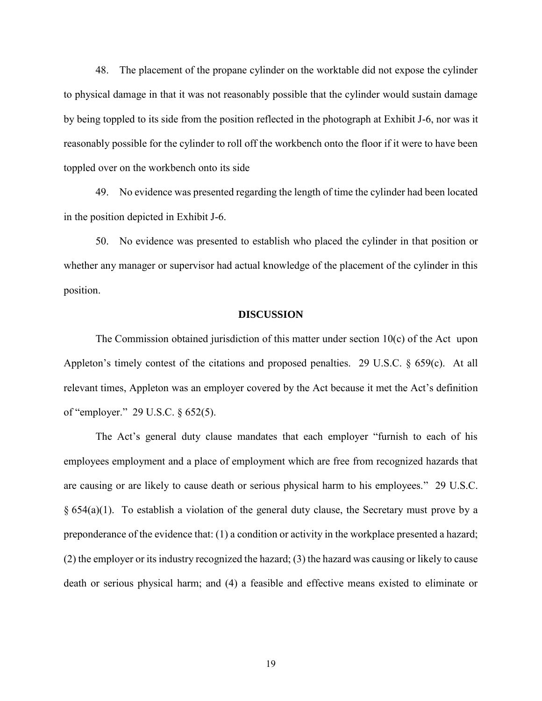48. The placement of the propane cylinder on the worktable did not expose the cylinder to physical damage in that it was not reasonably possible that the cylinder would sustain damage reasonably possible for the cylinder to roll off the workbench onto the floor if it were to have been by being toppled to its side from the position reflected in the photograph at Exhibit J-6, nor was it toppled over on the workbench onto its side

 49. No evidence was presented regarding the length of time the cylinder had been located in the position depicted in Exhibit J-6.

 whether any manager or supervisor had actual knowledge of the placement of the cylinder in this 50. No evidence was presented to establish who placed the cylinder in that position or position.

#### **DISCUSSION**

 The Commission obtained jurisdiction of this matter under section 10(c) of the Act upon relevant times, Appleton was an employer covered by the Act because it met the Act's definition Appleton's timely contest of the citations and proposed penalties. 29 U.S.C. § 659(c). At all of "employer." 29 U.S.C. § 652(5).

 The Act's general duty clause mandates that each employer "furnish to each of his employees employment and a place of employment which are free from recognized hazards that are causing or are likely to cause death or serious physical harm to his employees." 29 U.S.C. § 654(a)(1). To establish a violation of the general duty clause, the Secretary must prove by a preponderance of the evidence that: (1) a condition or activity in the workplace presented a hazard; (2) the employer or its industry recognized the hazard; (3) the hazard was causing or likely to cause death or serious physical harm; and (4) a feasible and effective means existed to eliminate or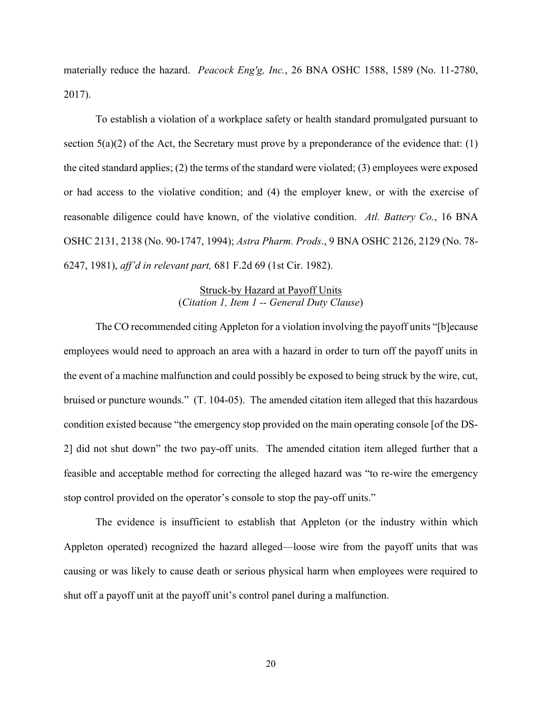materially reduce the hazard. *Peacock Eng'g, Inc.*, 26 BNA OSHC 1588, 1589 (No. 11-2780, 2017).

section  $5(a)(2)$  of the Act, the Secretary must prove by a preponderance of the evidence that: (1) reasonable diligence could have known, of the violative condition. *Atl. Battery Co.*, 16 BNA OSHC 2131, 2138 (No. 90-1747, 1994); *Astra Pharm. Prods*., 9 BNA OSHC 2126, 2129 (No. 78- To establish a violation of a workplace safety or health standard promulgated pursuant to the cited standard applies; (2) the terms of the standard were violated; (3) employees were exposed or had access to the violative condition; and (4) the employer knew, or with the exercise of 6247, 1981), *aff'd in relevant part,* 681 F.2d 69 (1st Cir. 1982).

# Struck-by Hazard at Payoff Units (*Citation 1, Item 1 -- General Duty Clause*)

 The CO recommended citing Appleton for a violation involving the payoff units "[b]ecause employees would need to approach an area with a hazard in order to turn off the payoff units in the event of a machine malfunction and could possibly be exposed to being struck by the wire, cut, bruised or puncture wounds." (T. 104-05). The amended citation item alleged that this hazardous condition existed because "the emergency stop provided on the main operating console [of the DS- 2] did not shut down" the two pay-off units. The amended citation item alleged further that a feasible and acceptable method for correcting the alleged hazard was "to re-wire the emergency stop control provided on the operator's console to stop the pay-off units."

 causing or was likely to cause death or serious physical harm when employees were required to The evidence is insufficient to establish that Appleton (or the industry within which Appleton operated) recognized the hazard alleged—loose wire from the payoff units that was shut off a payoff unit at the payoff unit's control panel during a malfunction.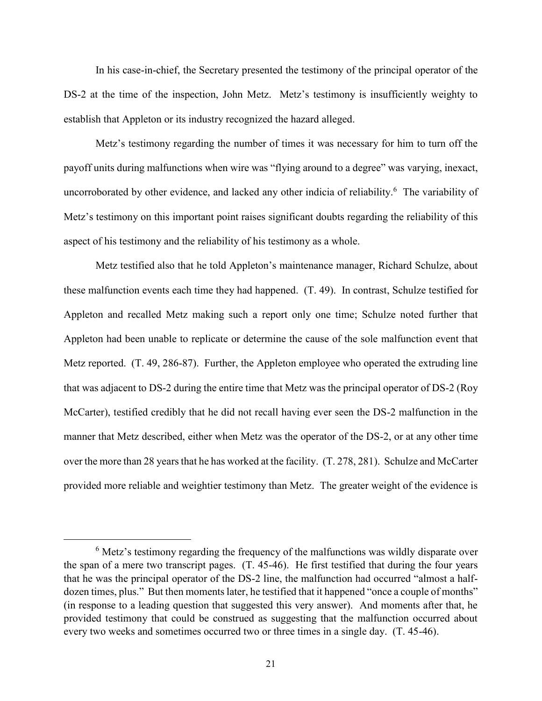In his case-in-chief, the Secretary presented the testimony of the principal operator of the DS-2 at the time of the inspection, John Metz. Metz's testimony is insufficiently weighty to establish that Appleton or its industry recognized the hazard alleged.

 Metz's testimony regarding the number of times it was necessary for him to turn off the payoff units during malfunctions when wire was "flying around to a degree" was varying, inexact, uncorroborated by other evidence, and lacked any other indicia of reliability. <sup>6</sup> The variability of Metz's testimony on this important point raises significant doubts regarding the reliability of this aspect of his testimony and the reliability of his testimony as a whole.

 these malfunction events each time they had happened. (T. 49). In contrast, Schulze testified for Appleton and recalled Metz making such a report only one time; Schulze noted further that Appleton had been unable to replicate or determine the cause of the sole malfunction event that that was adjacent to DS-2 during the entire time that Metz was the principal operator of DS-2 (Roy McCarter), testified credibly that he did not recall having ever seen the DS-2 malfunction in the manner that Metz described, either when Metz was the operator of the DS-2, or at any other time over the more than 28 years that he has worked at the facility. (T. 278, 281). Schulze and McCarter provided more reliable and weightier testimony than Metz. The greater weight of the evidence is Metz testified also that he told Appleton's maintenance manager, Richard Schulze, about Metz reported. (T. 49, 286-87). Further, the Appleton employee who operated the extruding line

 $6$  Metz's testimony regarding the frequency of the malfunctions was wildly disparate over the span of a mere two transcript pages. (T. 45-46). He first testified that during the four years that he was the principal operator of the DS-2 line, the malfunction had occurred "almost a half- dozen times, plus." But then moments later, he testified that it happened "once a couple of months" (in response to a leading question that suggested this very answer). And moments after that, he provided testimony that could be construed as suggesting that the malfunction occurred about every two weeks and sometimes occurred two or three times in a single day. (T. 45-46).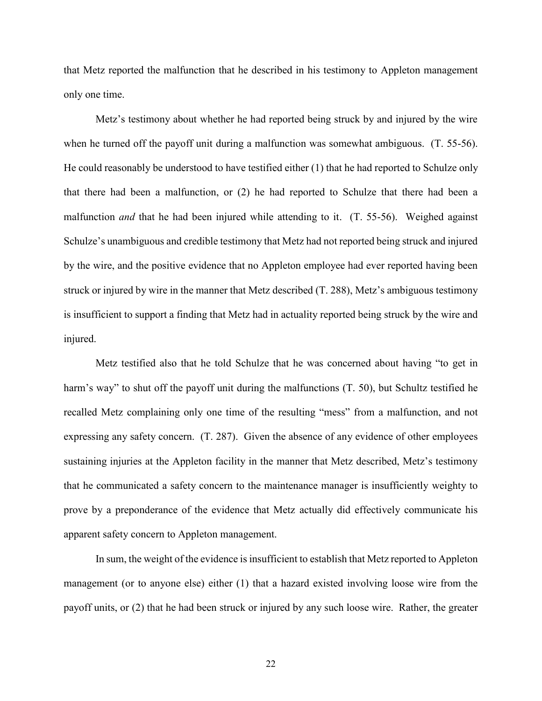that Metz reported the malfunction that he described in his testimony to Appleton management only one time.

 Metz's testimony about whether he had reported being struck by and injured by the wire when he turned off the payoff unit during a malfunction was somewhat ambiguous. (T. 55-56). He could reasonably be understood to have testified either (1) that he had reported to Schulze only that there had been a malfunction, or (2) he had reported to Schulze that there had been a malfunction *and* that he had been injured while attending to it. (T. 55-56). Weighed against Schulze's unambiguous and credible testimony that Metz had not reported being struck and injured by the wire, and the positive evidence that no Appleton employee had ever reported having been struck or injured by wire in the manner that Metz described (T. 288), Metz's ambiguous testimony is insufficient to support a finding that Metz had in actuality reported being struck by the wire and injured.

 harm's way" to shut off the payoff unit during the malfunctions (T. 50), but Schultz testified he expressing any safety concern. (T. 287). Given the absence of any evidence of other employees sustaining injuries at the Appleton facility in the manner that Metz described, Metz's testimony that he communicated a safety concern to the maintenance manager is insufficiently weighty to prove by a preponderance of the evidence that Metz actually did effectively communicate his Metz testified also that he told Schulze that he was concerned about having "to get in recalled Metz complaining only one time of the resulting "mess" from a malfunction, and not apparent safety concern to Appleton management.

 management (or to anyone else) either (1) that a hazard existed involving loose wire from the payoff units, or (2) that he had been struck or injured by any such loose wire. Rather, the greater In sum, the weight of the evidence is insufficient to establish that Metz reported to Appleton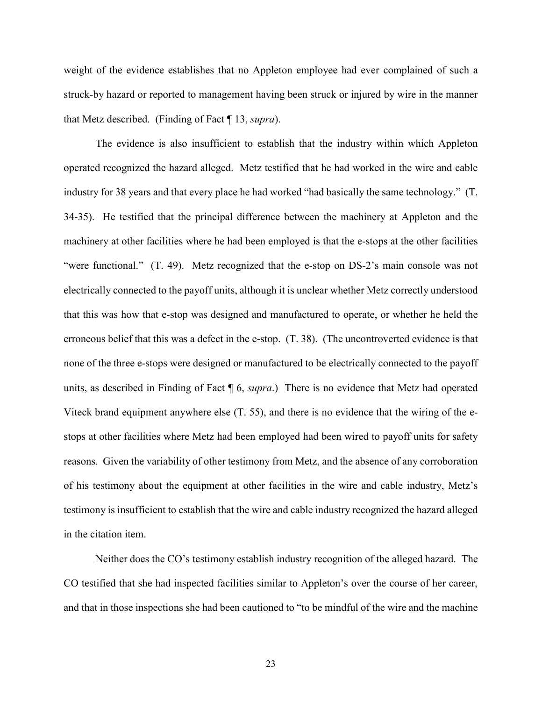weight of the evidence establishes that no Appleton employee had ever complained of such a struck-by hazard or reported to management having been struck or injured by wire in the manner that Metz described. (Finding of Fact ¶ 13, *supra*).

 The evidence is also insufficient to establish that the industry within which Appleton operated recognized the hazard alleged. Metz testified that he had worked in the wire and cable industry for 38 years and that every place he had worked "had basically the same technology." (T. 34-35). He testified that the principal difference between the machinery at Appleton and the machinery at other facilities where he had been employed is that the e-stops at the other facilities "were functional." (T. 49). Metz recognized that the e-stop on DS-2's main console was not none of the three e-stops were designed or manufactured to be electrically connected to the payoff units, as described in Finding of Fact ¶ 6, *supra*.) There is no evidence that Metz had operated Viteck brand equipment anywhere else (T. 55), and there is no evidence that the wiring of the e- stops at other facilities where Metz had been employed had been wired to payoff units for safety reasons. Given the variability of other testimony from Metz, and the absence of any corroboration electrically connected to the payoff units, although it is unclear whether Metz correctly understood that this was how that e-stop was designed and manufactured to operate, or whether he held the erroneous belief that this was a defect in the e-stop. (T. 38). (The uncontroverted evidence is that of his testimony about the equipment at other facilities in the wire and cable industry, Metz's testimony is insufficient to establish that the wire and cable industry recognized the hazard alleged in the citation item.

 CO testified that she had inspected facilities similar to Appleton's over the course of her career, Neither does the CO's testimony establish industry recognition of the alleged hazard. The and that in those inspections she had been cautioned to "to be mindful of the wire and the machine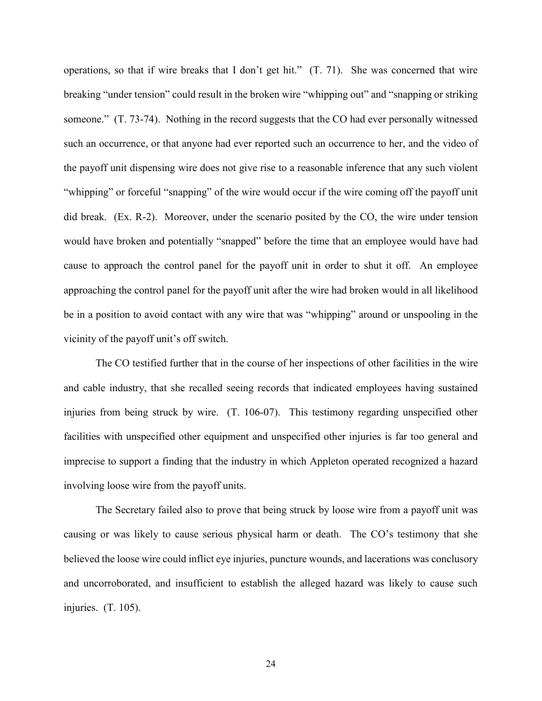operations, so that if wire breaks that I don't get hit." (T. 71). She was concerned that wire breaking "under tension" could result in the broken wire "whipping out" and "snapping or striking someone." (T. 73-74). Nothing in the record suggests that the CO had ever personally witnessed the payoff unit dispensing wire does not give rise to a reasonable inference that any such violent "whipping" or forceful "snapping" of the wire would occur if the wire coming off the payoff unit did break. (Ex. R-2). Moreover, under the scenario posited by the CO, the wire under tension would have broken and potentially "snapped" before the time that an employee would have had cause to approach the control panel for the payoff unit in order to shut it off. An employee approaching the control panel for the payoff unit after the wire had broken would in all likelihood be in a position to avoid contact with any wire that was "whipping" around or unspooling in the such an occurrence, or that anyone had ever reported such an occurrence to her, and the video of vicinity of the payoff unit's off switch.

 injuries from being struck by wire. (T. 106-07). This testimony regarding unspecified other imprecise to support a finding that the industry in which Appleton operated recognized a hazard The CO testified further that in the course of her inspections of other facilities in the wire and cable industry, that she recalled seeing records that indicated employees having sustained facilities with unspecified other equipment and unspecified other injuries is far too general and involving loose wire from the payoff units.

 The Secretary failed also to prove that being struck by loose wire from a payoff unit was causing or was likely to cause serious physical harm or death. The CO's testimony that she and uncorroborated, and insufficient to establish the alleged hazard was likely to cause such injuries. (T. 105). believed the loose wire could inflict eye injuries, puncture wounds, and lacerations was conclusory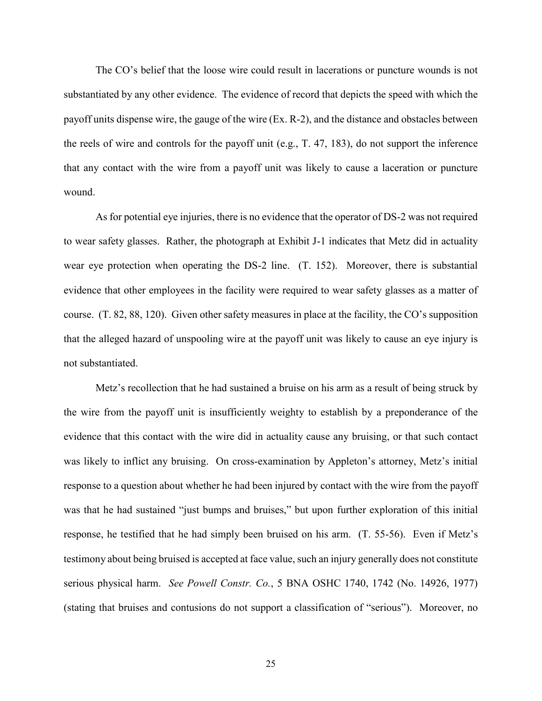The CO's belief that the loose wire could result in lacerations or puncture wounds is not substantiated by any other evidence. The evidence of record that depicts the speed with which the the reels of wire and controls for the payoff unit (e.g., T. 47, 183), do not support the inference that any contact with the wire from a payoff unit was likely to cause a laceration or puncture payoff units dispense wire, the gauge of the wire (Ex. R-2), and the distance and obstacles between wound.

 to wear safety glasses. Rather, the photograph at Exhibit J-1 indicates that Metz did in actuality wear eye protection when operating the DS-2 line. (T. 152). Moreover, there is substantial evidence that other employees in the facility were required to wear safety glasses as a matter of course. (T. 82, 88, 120). Given other safety measures in place at the facility, the CO's supposition that the alleged hazard of unspooling wire at the payoff unit was likely to cause an eye injury is As for potential eye injuries, there is no evidence that the operator of DS-2 was not required not substantiated.

 the wire from the payoff unit is insufficiently weighty to establish by a preponderance of the response to a question about whether he had been injured by contact with the wire from the payoff was that he had sustained "just bumps and bruises," but upon further exploration of this initial response, he testified that he had simply been bruised on his arm. (T. 55-56). Even if Metz's testimony about being bruised is accepted at face value, such an injury generally does not constitute serious physical harm. *See Powell Constr. Co.*, 5 BNA OSHC 1740, 1742 (No. 14926, 1977) (stating that bruises and contusions do not support a classification of "serious"). Moreover, no Metz's recollection that he had sustained a bruise on his arm as a result of being struck by evidence that this contact with the wire did in actuality cause any bruising, or that such contact was likely to inflict any bruising. On cross-examination by Appleton's attorney, Metz's initial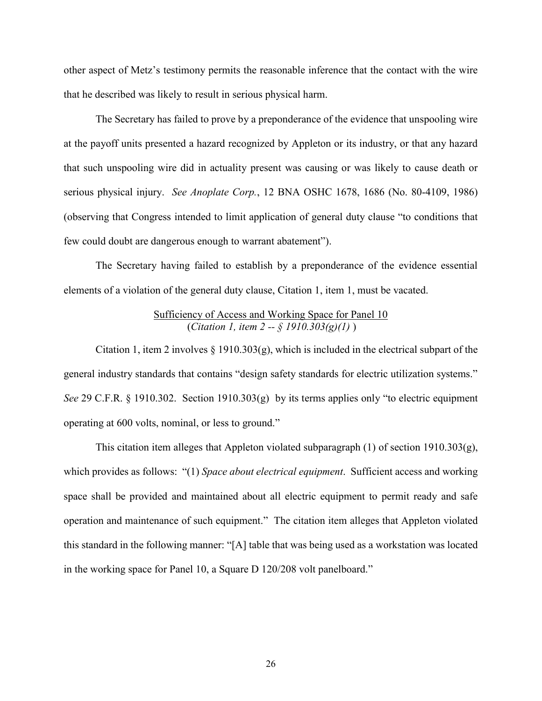other aspect of Metz's testimony permits the reasonable inference that the contact with the wire that he described was likely to result in serious physical harm.

 The Secretary has failed to prove by a preponderance of the evidence that unspooling wire at the payoff units presented a hazard recognized by Appleton or its industry, or that any hazard that such unspooling wire did in actuality present was causing or was likely to cause death or serious physical injury. *See Anoplate Corp.*, 12 BNA OSHC 1678, 1686 (No. 80-4109, 1986) (observing that Congress intended to limit application of general duty clause "to conditions that few could doubt are dangerous enough to warrant abatement").

 The Secretary having failed to establish by a preponderance of the evidence essential elements of a violation of the general duty clause, Citation 1, item 1, must be vacated.

## Sufficiency of Access and Working Space for Panel 10 (*Citation 1, item 2 -- § 1910.303(g)(1)* )

 general industry standards that contains "design safety standards for electric utilization systems." *See* 29 C.F.R. § 1910.302. Section 1910.303(g) by its terms applies only "to electric equipment operating at 600 volts, nominal, or less to ground." Citation 1, item 2 involves  $\S$  1910.303(g), which is included in the electrical subpart of the

 space shall be provided and maintained about all electric equipment to permit ready and safe operation and maintenance of such equipment." The citation item alleges that Appleton violated this standard in the following manner: "[A] table that was being used as a workstation was located in the working space for Panel 10, a Square D 120/208 volt panelboard." This citation item alleges that Appleton violated subparagraph (1) of section 1910.303(g), which provides as follows: "(1) *Space about electrical equipment*. Sufficient access and working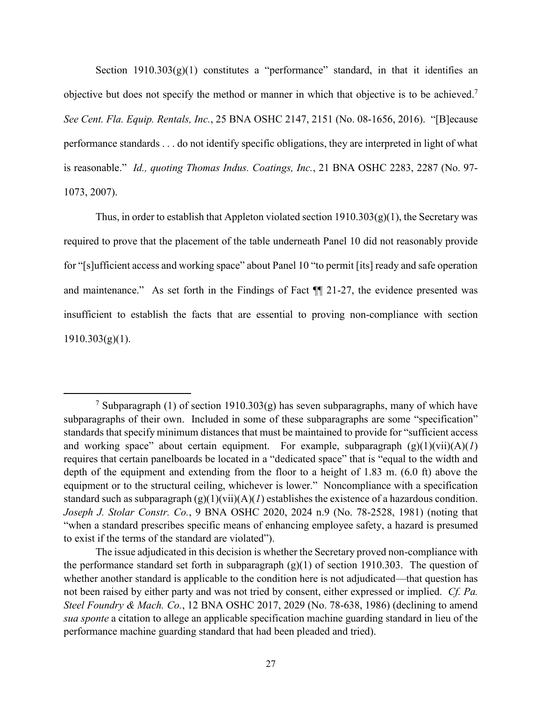Section 1910.303(g)(1) constitutes a "performance" standard, in that it identifies an objective but does not specify the method or manner in which that objective is to be achieved.<sup>7</sup> performance standards . . . do not identify specific obligations, they are interpreted in light of what is reasonable." *Id., quoting Thomas Indus. Coatings, Inc.*, 21 BNA OSHC 2283, 2287 (No. 97- *See Cent. Fla. Equip. Rentals, Inc.*, 25 BNA OSHC 2147, 2151 (No. 08-1656, 2016). "[B]ecause 1073, 2007).

Thus, in order to establish that Appleton violated section  $1910.303(g)(1)$ , the Secretary was required to prove that the placement of the table underneath Panel 10 did not reasonably provide for "[s]ufficient access and working space" about Panel 10 "to permit [its] ready and safe operation and maintenance." As set forth in the Findings of Fact ¶¶ 21-27, the evidence presented was insufficient to establish the facts that are essential to proving non-compliance with section  $1910.303(g)(1)$ .

 subparagraphs of their own. Included in some of these subparagraphs are some "specification" standards that specify minimum distances that must be maintained to provide for "sufficient access and working space" about certain equipment. For example, subparagraph (g)(1)(vii)(A)(*1*) requires that certain panelboards be located in a "dedicated space" that is "equal to the width and depth of the equipment and extending from the floor to a height of 1.83 m. (6.0 ft) above the equipment or to the structural ceiling, whichever is lower." Noncompliance with a specification standard such as subparagraph (g)(1)(vii)(A)(*1*) establishes the existence of a hazardous condition. *Joseph J. Stolar Constr. Co.*, 9 BNA OSHC 2020, 2024 n.9 (No. 78-2528, 1981) (noting that "when a standard prescribes specific means of enhancing employee safety, a hazard is presumed <sup>7</sup> Subparagraph (1) of section 1910.303(g) has seven subparagraphs, many of which have to exist if the terms of the standard are violated").

 The issue adjudicated in this decision is whether the Secretary proved non-compliance with the performance standard set forth in subparagraph (g)(1) of section 1910.303. The question of not been raised by either party and was not tried by consent, either expressed or implied. *Cf. Pa. Steel Foundry & Mach. Co.*, 12 BNA OSHC 2017, 2029 (No. 78-638, 1986) (declining to amend whether another standard is applicable to the condition here is not adjudicated—that question has *sua sponte* a citation to allege an applicable specification machine guarding standard in lieu of the performance machine guarding standard that had been pleaded and tried).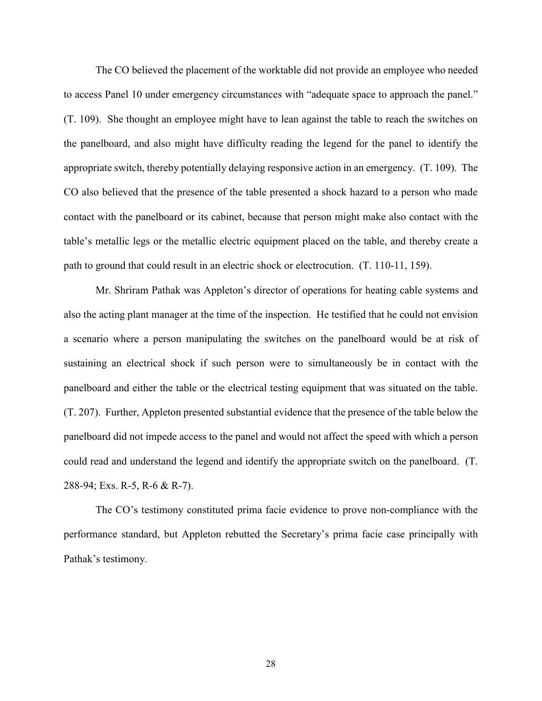to access Panel 10 under emergency circumstances with "adequate space to approach the panel." (T. 109). She thought an employee might have to lean against the table to reach the switches on the panelboard, and also might have difficulty reading the legend for the panel to identify the appropriate switch, thereby potentially delaying responsive action in an emergency. (T. 109). The CO also believed that the presence of the table presented a shock hazard to a person who made table's metallic legs or the metallic electric equipment placed on the table, and thereby create a The CO believed the placement of the worktable did not provide an employee who needed contact with the panelboard or its cabinet, because that person might make also contact with the path to ground that could result in an electric shock or electrocution. (T. 110-11, 159).

 Mr. Shriram Pathak was Appleton's director of operations for heating cable systems and sustaining an electrical shock if such person were to simultaneously be in contact with the (T. 207). Further, Appleton presented substantial evidence that the presence of the table below the panelboard did not impede access to the panel and would not affect the speed with which a person also the acting plant manager at the time of the inspection. He testified that he could not envision a scenario where a person manipulating the switches on the panelboard would be at risk of panelboard and either the table or the electrical testing equipment that was situated on the table. could read and understand the legend and identify the appropriate switch on the panelboard. (T. 288-94; Exs. R-5, R-6 & R-7).

 The CO's testimony constituted prima facie evidence to prove non-compliance with the performance standard, but Appleton rebutted the Secretary's prima facie case principally with Pathak's testimony.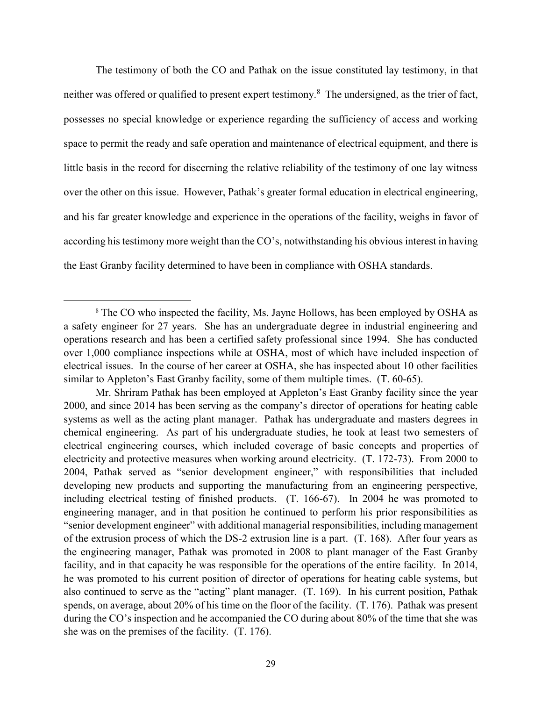The testimony of both the CO and Pathak on the issue constituted lay testimony, in that neither was offered or qualified to present expert testimony.<sup>8</sup> The undersigned, as the trier of fact, possesses no special knowledge or experience regarding the sufficiency of access and working space to permit the ready and safe operation and maintenance of electrical equipment, and there is little basis in the record for discerning the relative reliability of the testimony of one lay witness over the other on this issue. However, Pathak's greater formal education in electrical engineering, according his testimony more weight than the CO's, notwithstanding his obvious interest in having and his far greater knowledge and experience in the operations of the facility, weighs in favor of the East Granby facility determined to have been in compliance with OSHA standards.

<sup>&</sup>lt;sup>8</sup> The CO who inspected the facility, Ms. Jayne Hollows, has been employed by OSHA as a safety engineer for 27 years. She has an undergraduate degree in industrial engineering and operations research and has been a certified safety professional since 1994. She has conducted electrical issues. In the course of her career at OSHA, she has inspected about 10 other facilities over 1,000 compliance inspections while at OSHA, most of which have included inspection of similar to Appleton's East Granby facility, some of them multiple times. (T. 60-65).

 Mr. Shriram Pathak has been employed at Appleton's East Granby facility since the year 2000, and since 2014 has been serving as the company's director of operations for heating cable systems as well as the acting plant manager. Pathak has undergraduate and masters degrees in electrical engineering courses, which included coverage of basic concepts and properties of including electrical testing of finished products. (T. 166-67). In 2004 he was promoted to engineering manager, and in that position he continued to perform his prior responsibilities as of the extrusion process of which the DS-2 extrusion line is a part. (T. 168). After four years as facility, and in that capacity he was responsible for the operations of the entire facility. In 2014, he was promoted to his current position of director of operations for heating cable systems, but also continued to serve as the "acting" plant manager. (T. 169). In his current position, Pathak spends, on average, about 20% of his time on the floor of the facility. (T. 176). Pathak was present during the CO's inspection and he accompanied the CO during about 80% of the time that she was chemical engineering. As part of his undergraduate studies, he took at least two semesters of electricity and protective measures when working around electricity. (T. 172-73). From 2000 to 2004, Pathak served as "senior development engineer," with responsibilities that included developing new products and supporting the manufacturing from an engineering perspective, "senior development engineer" with additional managerial responsibilities, including management the engineering manager, Pathak was promoted in 2008 to plant manager of the East Granby she was on the premises of the facility. (T. 176).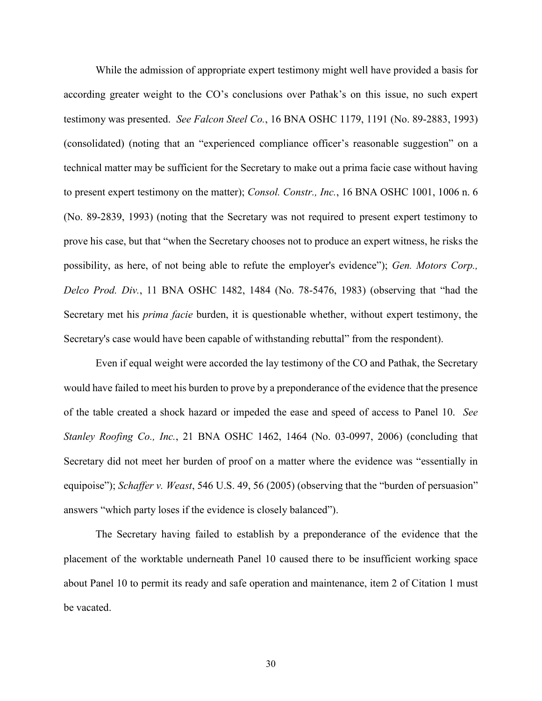While the admission of appropriate expert testimony might well have provided a basis for according greater weight to the CO's conclusions over Pathak's on this issue, no such expert testimony was presented. *See Falcon Steel Co.*, 16 BNA OSHC 1179, 1191 (No. 89-2883, 1993) (consolidated) (noting that an "experienced compliance officer's reasonable suggestion" on a technical matter may be sufficient for the Secretary to make out a prima facie case without having (No. 89-2839, 1993) (noting that the Secretary was not required to present expert testimony to prove his case, but that "when the Secretary chooses not to produce an expert witness, he risks the possibility, as here, of not being able to refute the employer's evidence"); *Gen. Motors Corp., Delco Prod. Div.*, 11 BNA OSHC 1482, 1484 (No. 78-5476, 1983) (observing that "had the Secretary met his *prima facie* burden, it is questionable whether, without expert testimony, the to present expert testimony on the matter); *Consol. Constr., Inc.*, 16 BNA OSHC 1001, 1006 n. 6 Secretary's case would have been capable of withstanding rebuttal" from the respondent).

 Even if equal weight were accorded the lay testimony of the CO and Pathak, the Secretary would have failed to meet his burden to prove by a preponderance of the evidence that the presence of the table created a shock hazard or impeded the ease and speed of access to Panel 10. *See* Secretary did not meet her burden of proof on a matter where the evidence was "essentially in equipoise"); *Schaffer v. Weast*, 546 U.S. 49, 56 (2005) (observing that the "burden of persuasion" *Stanley Roofing Co., Inc.*, 21 BNA OSHC 1462, 1464 (No. 03-0997, 2006) (concluding that answers "which party loses if the evidence is closely balanced").

 The Secretary having failed to establish by a preponderance of the evidence that the placement of the worktable underneath Panel 10 caused there to be insufficient working space about Panel 10 to permit its ready and safe operation and maintenance, item 2 of Citation 1 must be vacated.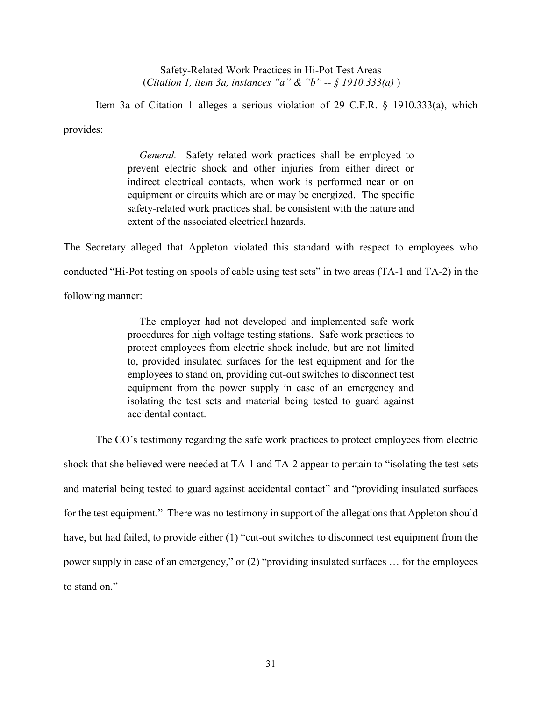Safety-Related Work Practices in Hi-Pot Test Areas (*Citation 1, item 3a, instances "a" & "b" -- § 1910.333(a)* )

Item 3a of Citation 1 alleges a serious violation of 29 C.F.R. § 1910.333(a), which provides:

> *General.* Safety related work practices shall be employed to prevent electric shock and other injuries from either direct or equipment or circuits which are or may be energized. The specific indirect electrical contacts, when work is performed near or on safety-related work practices shall be consistent with the nature and extent of the associated electrical hazards.

The Secretary alleged that Appleton violated this standard with respect to employees who conducted "Hi-Pot testing on spools of cable using test sets" in two areas (TA-1 and TA-2) in the following manner:

> The employer had not developed and implemented safe work procedures for high voltage testing stations. Safe work practices to to, provided insulated surfaces for the test equipment and for the equipment from the power supply in case of an emergency and protect employees from electric shock include, but are not limited employees to stand on, providing cut-out switches to disconnect test isolating the test sets and material being tested to guard against accidental contact.

 The CO's testimony regarding the safe work practices to protect employees from electric and material being tested to guard against accidental contact" and "providing insulated surfaces for the test equipment." There was no testimony in support of the allegations that Appleton should power supply in case of an emergency," or (2) "providing insulated surfaces … for the employees shock that she believed were needed at TA-1 and TA-2 appear to pertain to "isolating the test sets have, but had failed, to provide either (1) "cut-out switches to disconnect test equipment from the to stand on."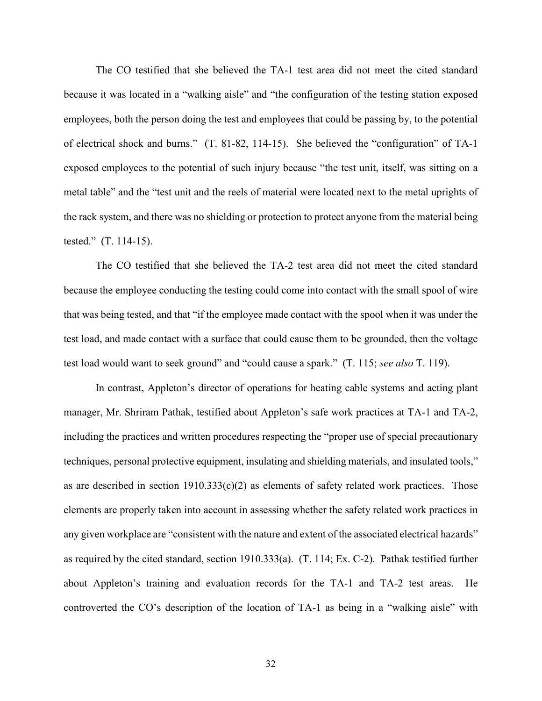because it was located in a "walking aisle" and "the configuration of the testing station exposed employees, both the person doing the test and employees that could be passing by, to the potential of electrical shock and burns." (T. 81-82, 114-15). She believed the "configuration" of TA-1 exposed employees to the potential of such injury because "the test unit, itself, was sitting on a The CO testified that she believed the TA-1 test area did not meet the cited standard metal table" and the "test unit and the reels of material were located next to the metal uprights of the rack system, and there was no shielding or protection to protect anyone from the material being tested." (T. 114-15).

 The CO testified that she believed the TA-2 test area did not meet the cited standard because the employee conducting the testing could come into contact with the small spool of wire that was being tested, and that "if the employee made contact with the spool when it was under the test load, and made contact with a surface that could cause them to be grounded, then the voltage test load would want to seek ground" and "could cause a spark." (T. 115; *see also* T. 119).

 In contrast, Appleton's director of operations for heating cable systems and acting plant elements are properly taken into account in assessing whether the safety related work practices in any given workplace are "consistent with the nature and extent of the associated electrical hazards" about Appleton's training and evaluation records for the TA-1 and TA-2 test areas. He controverted the CO's description of the location of TA-1 as being in a "walking aisle" with manager, Mr. Shriram Pathak, testified about Appleton's safe work practices at TA-1 and TA-2, including the practices and written procedures respecting the "proper use of special precautionary techniques, personal protective equipment, insulating and shielding materials, and insulated tools," as are described in section  $1910.333(c)(2)$  as elements of safety related work practices. Those as required by the cited standard, section 1910.333(a). (T. 114; Ex. C-2). Pathak testified further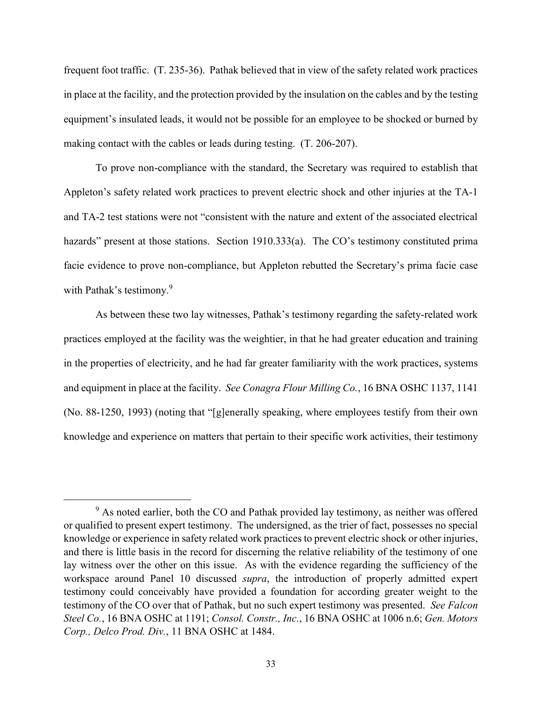frequent foot traffic. (T. 235-36). Pathak believed that in view of the safety related work practices in place at the facility, and the protection provided by the insulation on the cables and by the testing equipment's insulated leads, it would not be possible for an employee to be shocked or burned by making contact with the cables or leads during testing. (T. 206-207).

 To prove non-compliance with the standard, the Secretary was required to establish that Appleton's safety related work practices to prevent electric shock and other injuries at the TA-1 and TA-2 test stations were not "consistent with the nature and extent of the associated electrical hazards" present at those stations. Section 1910.333(a). The CO's testimony constituted prima facie evidence to prove non-compliance, but Appleton rebutted the Secretary's prima facie case with Pathak's testimony.<sup>9</sup>

 practices employed at the facility was the weightier, in that he had greater education and training in the properties of electricity, and he had far greater familiarity with the work practices, systems and equipment in place at the facility. *See Conagra Flour Milling Co.*, 16 BNA OSHC 1137, 1141 (No. 88-1250, 1993) (noting that "[g]enerally speaking, where employees testify from their own As between these two lay witnesses, Pathak's testimony regarding the safety-related work knowledge and experience on matters that pertain to their specific work activities, their testimony

 $9$  As noted earlier, both the CO and Pathak provided lay testimony, as neither was offered or qualified to present expert testimony. The undersigned, as the trier of fact, possesses no special knowledge or experience in safety related work practices to prevent electric shock or other injuries, and there is little basis in the record for discerning the relative reliability of the testimony of one lay witness over the other on this issue. As with the evidence regarding the sufficiency of the workspace around Panel 10 discussed *supra*, the introduction of properly admitted expert testimony could conceivably have provided a foundation for according greater weight to the testimony of the CO over that of Pathak, but no such expert testimony was presented. *See Falcon Steel Co.*, 16 BNA OSHC at 1191; *Consol. Constr., Inc.*, 16 BNA OSHC at 1006 n.6; *Gen. Motors Corp., Delco Prod. Div.*, 11 BNA OSHC at 1484.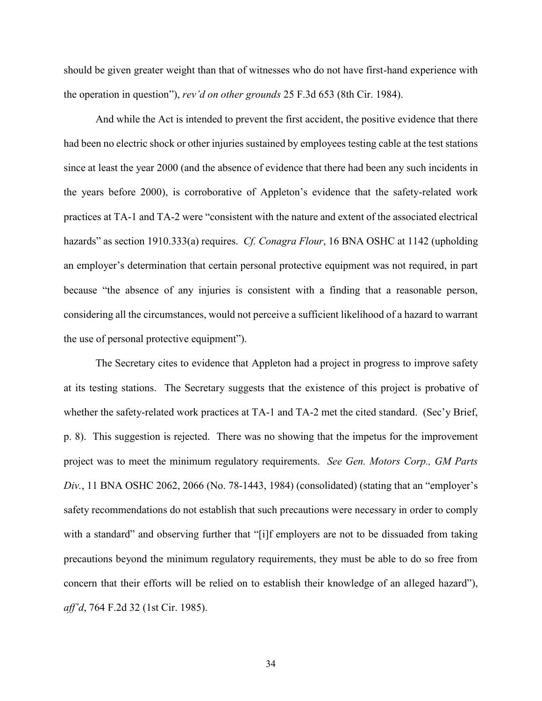should be given greater weight than that of witnesses who do not have first-hand experience with the operation in question"), *rev'd on other grounds* 25 F.3d 653 (8th Cir. 1984).

 And while the Act is intended to prevent the first accident, the positive evidence that there since at least the year 2000 (and the absence of evidence that there had been any such incidents in the years before 2000), is corroborative of Appleton's evidence that the safety-related work practices at TA-1 and TA-2 were "consistent with the nature and extent of the associated electrical hazards" as section 1910.333(a) requires. *Cf. Conagra Flour*, 16 BNA OSHC at 1142 (upholding because "the absence of any injuries is consistent with a finding that a reasonable person, considering all the circumstances, would not perceive a sufficient likelihood of a hazard to warrant had been no electric shock or other injuries sustained by employees testing cable at the test stations an employer's determination that certain personal protective equipment was not required, in part the use of personal protective equipment").

 The Secretary cites to evidence that Appleton had a project in progress to improve safety at its testing stations. The Secretary suggests that the existence of this project is probative of whether the safety-related work practices at TA-1 and TA-2 met the cited standard. (Sec'y Brief, p. 8). This suggestion is rejected. There was no showing that the impetus for the improvement  project was to meet the minimum regulatory requirements. *See Gen. Motors Corp., GM Parts* with a standard" and observing further that "[i]f employers are not to be dissuaded from taking precautions beyond the minimum regulatory requirements, they must be able to do so free from concern that their efforts will be relied on to establish their knowledge of an alleged hazard"), *Div.*, 11 BNA OSHC 2062, 2066 (No. 78-1443, 1984) (consolidated) (stating that an "employer's safety recommendations do not establish that such precautions were necessary in order to comply *aff'd*, 764 F.2d 32 (1st Cir. 1985).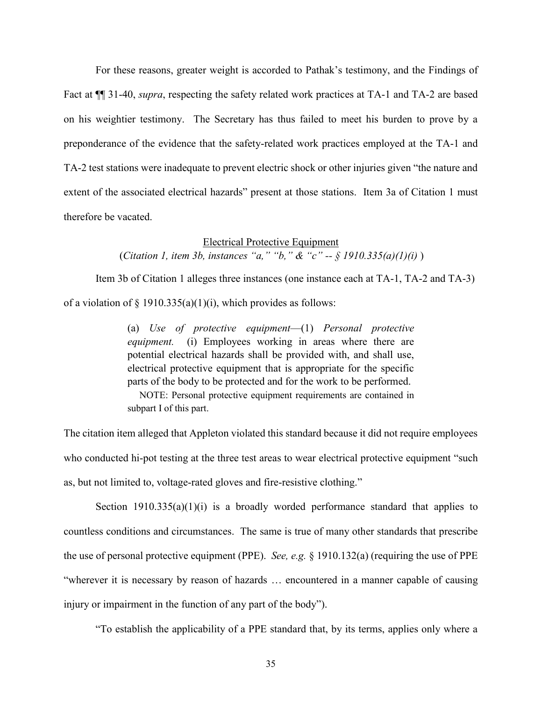Fact at ¶¶ 31-40, *supra*, respecting the safety related work practices at TA-1 and TA-2 are based on his weightier testimony. The Secretary has thus failed to meet his burden to prove by a TA-2 test stations were inadequate to prevent electric shock or other injuries given "the nature and For these reasons, greater weight is accorded to Pathak's testimony, and the Findings of preponderance of the evidence that the safety-related work practices employed at the TA-1 and extent of the associated electrical hazards" present at those stations. Item 3a of Citation 1 must therefore be vacated.

#### Electrical Protective Equipment

(*Citation 1, item 3b, instances "a," "b," & "c" -- § 1910.335(a)(1)(i)* )

Item 3b of Citation 1 alleges three instances (one instance each at TA-1, TA-2 and TA-3) of a violation of  $\S$  1910.335(a)(1)(i), which provides as follows:

> *equipment.* (i) Employees working in areas where there are potential electrical hazards shall be provided with, and shall use, electrical protective equipment that is appropriate for the specific (a) *Use of protective equipment*—(1) *Personal protective* parts of the body to be protected and for the work to be performed.

> NOTE: Personal protective equipment requirements are contained in subpart I of this part.

 The citation item alleged that Appleton violated this standard because it did not require employees who conducted hi-pot testing at the three test areas to wear electrical protective equipment "such as, but not limited to, voltage-rated gloves and fire-resistive clothing."

Section  $1910.335(a)(1)(i)$  is a broadly worded performance standard that applies to countless conditions and circumstances. The same is true of many other standards that prescribe "wherever it is necessary by reason of hazards … encountered in a manner capable of causing the use of personal protective equipment (PPE). *See, e.g.* § 1910.132(a) (requiring the use of PPE injury or impairment in the function of any part of the body").

"To establish the applicability of a PPE standard that, by its terms, applies only where a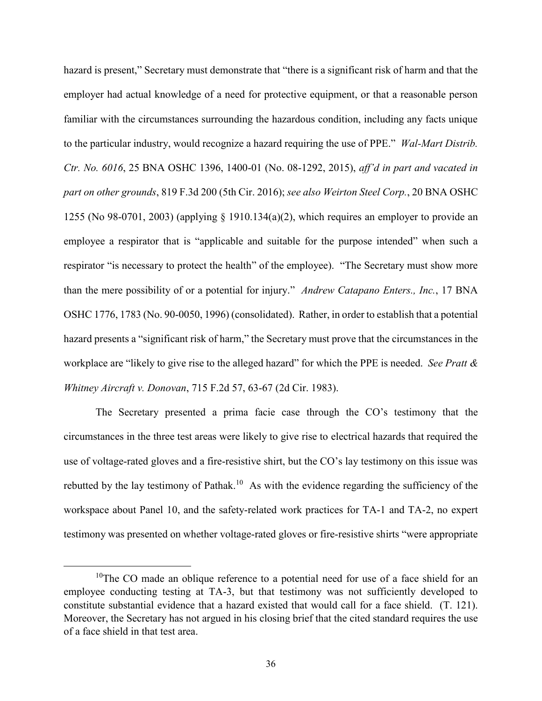hazard is present," Secretary must demonstrate that "there is a significant risk of harm and that the employer had actual knowledge of a need for protective equipment, or that a reasonable person familiar with the circumstances surrounding the hazardous condition, including any facts unique to the particular industry, would recognize a hazard requiring the use of PPE." *Wal-Mart Distrib. part on other grounds*, 819 F.3d 200 (5th Cir. 2016); *see also Weirton Steel Corp.*, 20 BNA OSHC employee a respirator that is "applicable and suitable for the purpose intended" when such a respirator "is necessary to protect the health" of the employee). "The Secretary must show more than the mere possibility of or a potential for injury." *Andrew Catapano Enters., Inc.*, 17 BNA OSHC 1776, 1783 (No. 90-0050, 1996) (consolidated). Rather, in order to establish that a potential hazard presents a "significant risk of harm," the Secretary must prove that the circumstances in the workplace are "likely to give rise to the alleged hazard" for which the PPE is needed. *See Pratt & Ctr. No. 6016*, 25 BNA OSHC 1396, 1400-01 (No. 08-1292, 2015), *aff'd in part and vacated in*  1255 (No 98-0701, 2003) (applying  $\S$  1910.134(a)(2), which requires an employer to provide an *Whitney Aircraft v. Donovan*, 715 F.2d 57, 63-67 (2d Cir. 1983).

 The Secretary presented a prima facie case through the CO's testimony that the circumstances in the three test areas were likely to give rise to electrical hazards that required the use of voltage-rated gloves and a fire-resistive shirt, but the CO's lay testimony on this issue was rebutted by the lay testimony of Pathak.<sup>10</sup> As with the evidence regarding the sufficiency of the testimony was presented on whether voltage-rated gloves or fire-resistive shirts "were appropriate workspace about Panel 10, and the safety-related work practices for TA-1 and TA-2, no expert

<sup>&</sup>lt;sup>10</sup>The CO made an oblique reference to a potential need for use of a face shield for an employee conducting testing at TA-3, but that testimony was not sufficiently developed to constitute substantial evidence that a hazard existed that would call for a face shield. (T. 121). Moreover, the Secretary has not argued in his closing brief that the cited standard requires the use of a face shield in that test area.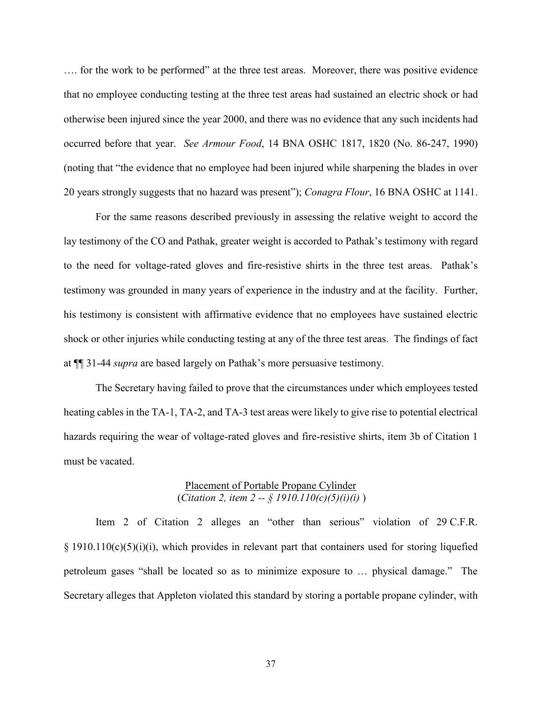…. for the work to be performed" at the three test areas. Moreover, there was positive evidence that no employee conducting testing at the three test areas had sustained an electric shock or had otherwise been injured since the year 2000, and there was no evidence that any such incidents had occurred before that year. *See Armour Food*, 14 BNA OSHC 1817, 1820 (No. 86-247, 1990) (noting that "the evidence that no employee had been injured while sharpening the blades in over 20 years strongly suggests that no hazard was present"); *Conagra Flour*, 16 BNA OSHC at 1141.

 to the need for voltage-rated gloves and fire-resistive shirts in the three test areas. Pathak's testimony was grounded in many years of experience in the industry and at the facility. Further, his testimony is consistent with affirmative evidence that no employees have sustained electric shock or other injuries while conducting testing at any of the three test areas. The findings of fact For the same reasons described previously in assessing the relative weight to accord the lay testimony of the CO and Pathak, greater weight is accorded to Pathak's testimony with regard at ¶¶ 31-44 *supra* are based largely on Pathak's more persuasive testimony.

 The Secretary having failed to prove that the circumstances under which employees tested heating cables in the TA-1, TA-2, and TA-3 test areas were likely to give rise to potential electrical hazards requiring the wear of voltage-rated gloves and fire-resistive shirts, item 3b of Citation 1 must be vacated.

## Placement of Portable Propane Cylinder (*Citation 2, item 2 -- § 1910.110(c)(5)(i)(i)* )

 petroleum gases "shall be located so as to minimize exposure to … physical damage." The Secretary alleges that Appleton violated this standard by storing a portable propane cylinder, with Item 2 of Citation 2 alleges an "other than serious" violation of 29 C.F.R.  $§$  1910.110(c)(5)(i)(i), which provides in relevant part that containers used for storing liquefied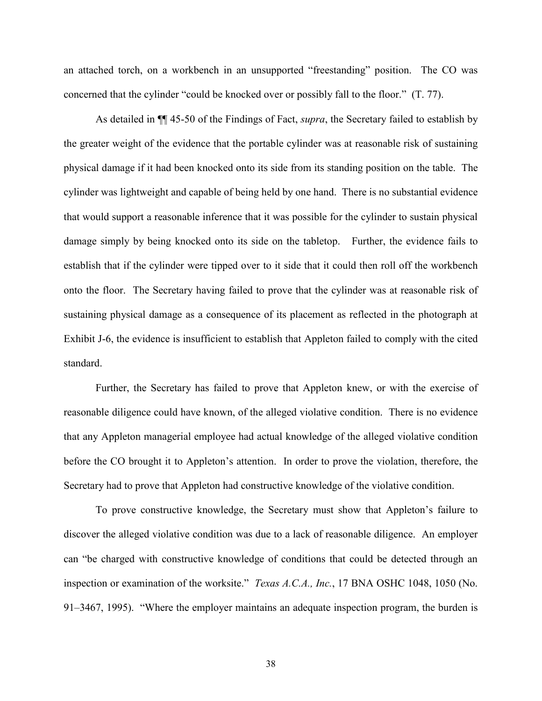an attached torch, on a workbench in an unsupported "freestanding" position. The CO was concerned that the cylinder "could be knocked over or possibly fall to the floor." (T. 77).

 physical damage if it had been knocked onto its side from its standing position on the table. The cylinder was lightweight and capable of being held by one hand. There is no substantial evidence that would support a reasonable inference that it was possible for the cylinder to sustain physical onto the floor. The Secretary having failed to prove that the cylinder was at reasonable risk of As detailed in ¶¶ 45-50 of the Findings of Fact, *supra*, the Secretary failed to establish by the greater weight of the evidence that the portable cylinder was at reasonable risk of sustaining damage simply by being knocked onto its side on the tabletop. Further, the evidence fails to establish that if the cylinder were tipped over to it side that it could then roll off the workbench sustaining physical damage as a consequence of its placement as reflected in the photograph at Exhibit J-6, the evidence is insufficient to establish that Appleton failed to comply with the cited standard.

 reasonable diligence could have known, of the alleged violative condition. There is no evidence Further, the Secretary has failed to prove that Appleton knew, or with the exercise of that any Appleton managerial employee had actual knowledge of the alleged violative condition before the CO brought it to Appleton's attention. In order to prove the violation, therefore, the Secretary had to prove that Appleton had constructive knowledge of the violative condition.

 To prove constructive knowledge, the Secretary must show that Appleton's failure to discover the alleged violative condition was due to a lack of reasonable diligence. An employer can "be charged with constructive knowledge of conditions that could be detected through an inspection or examination of the worksite." *Texas A.C.A., Inc.*, 17 BNA OSHC 1048, 1050 (No. 91–3467, 1995). "Where the employer maintains an adequate inspection program, the burden is

38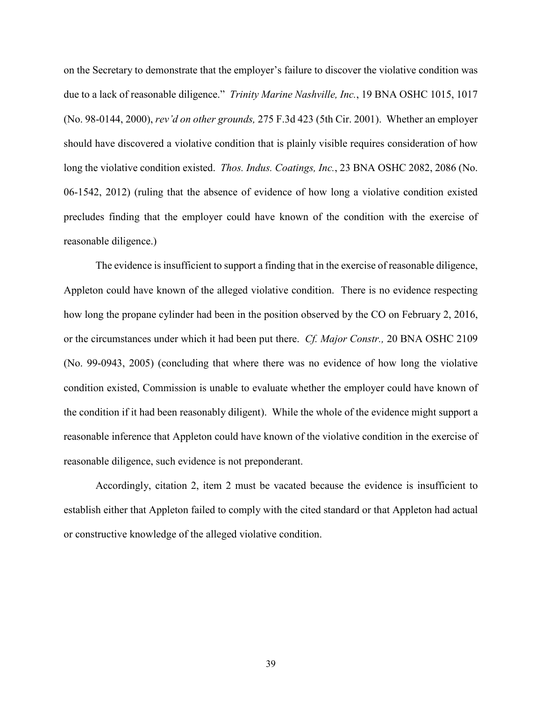due to a lack of reasonable diligence." *Trinity Marine Nashville, Inc.*, 19 BNA OSHC 1015, 1017 (No. 98-0144, 2000), *rev'd on other grounds,* 275 F.3d 423 (5th Cir. 2001). Whether an employer should have discovered a violative condition that is plainly visible requires consideration of how long the violative condition existed. *Thos. Indus. Coatings, Inc.*, 23 BNA OSHC 2082, 2086 (No. 06-1542, 2012) (ruling that the absence of evidence of how long a violative condition existed precludes finding that the employer could have known of the condition with the exercise of on the Secretary to demonstrate that the employer's failure to discover the violative condition was reasonable diligence.)

 The evidence is insufficient to support a finding that in the exercise of reasonable diligence, Appleton could have known of the alleged violative condition. There is no evidence respecting how long the propane cylinder had been in the position observed by the CO on February 2, 2016, or the circumstances under which it had been put there. *Cf. Major Constr.,* 20 BNA OSHC 2109 (No. 99-0943, 2005) (concluding that where there was no evidence of how long the violative condition existed, Commission is unable to evaluate whether the employer could have known of the condition if it had been reasonably diligent). While the whole of the evidence might support a reasonable inference that Appleton could have known of the violative condition in the exercise of reasonable diligence, such evidence is not preponderant.

 Accordingly, citation 2, item 2 must be vacated because the evidence is insufficient to establish either that Appleton failed to comply with the cited standard or that Appleton had actual or constructive knowledge of the alleged violative condition.